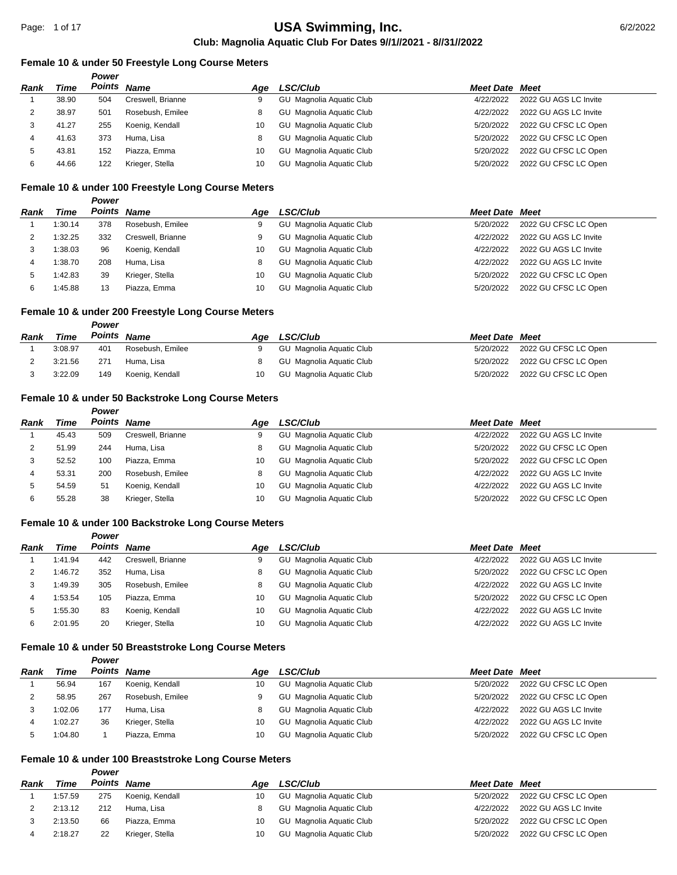#### **Female 10 & under 50 Freestyle Long Course Meters**

|      |       | Power       |                   |     |                                 |                       |                       |
|------|-------|-------------|-------------------|-----|---------------------------------|-----------------------|-----------------------|
| Rank | Time  | Points Name |                   | Aae | <b>LSC/Club</b>                 | <b>Meet Date Meet</b> |                       |
|      | 38.90 | 504         | Creswell, Brianne | 9   | GU Magnolia Aquatic Club        | 4/22/2022             | 2022 GU AGS LC Invite |
|      | 38.97 | 501         | Rosebush, Emilee  |     | GU Magnolia Aquatic Club        | 4/22/2022             | 2022 GU AGS LC Invite |
| 3    | 41.27 | 255         | Koenig, Kendall   | 10  | <b>GU</b> Magnolia Aquatic Club | 5/20/2022             | 2022 GU CFSC LC Open  |
| 4    | 41.63 | 373         | Huma, Lisa        |     | GU Magnolia Aquatic Club        | 5/20/2022             | 2022 GU CFSC LC Open  |
| 5    | 43.81 | 152         | Piazza, Emma      | 10  | GU Magnolia Aquatic Club        | 5/20/2022             | 2022 GU CFSC LC Open  |
| 6    | 44.66 | 122         | Krieger, Stella   | 10  | GU Magnolia Aquatic Club        | 5/20/2022             | 2022 GU CFSC LC Open  |

#### **Female 10 & under 100 Freestyle Long Course Meters**

|             |         | Power       |                   |     |                                 |                       |                       |
|-------------|---------|-------------|-------------------|-----|---------------------------------|-----------------------|-----------------------|
| <b>Rank</b> | Time    | Points Name |                   | Aae | <b>LSC/Club</b>                 | <b>Meet Date Meet</b> |                       |
|             | 1:30.14 | 378         | Rosebush, Emilee  | 9   | GU Magnolia Aquatic Club        | 5/20/2022             | 2022 GU CFSC LC Open  |
|             | 1:32.25 | 332         | Creswell, Brianne | 9   | <b>GU</b> Magnolia Aquatic Club | 4/22/2022             | 2022 GU AGS LC Invite |
| 3           | 1:38.03 | 96          | Koenig, Kendall   | 10  | <b>GU</b> Magnolia Aquatic Club | 4/22/2022             | 2022 GU AGS LC Invite |
| 4           | 1:38.70 | 208         | Huma, Lisa        | 8   | GU Magnolia Aquatic Club        | 4/22/2022             | 2022 GU AGS LC Invite |
| 5           | 1:42.83 | 39          | Krieger, Stella   | 10  | GU Magnolia Aquatic Club        | 5/20/2022             | 2022 GU CFSC LC Open  |
| 6           | 1:45.88 | 13          | Piazza, Emma      | 10  | GU Magnolia Aquatic Club        | 5/20/2022             | 2022 GU CFSC LC Open  |

## **Female 10 & under 200 Freestyle Long Course Meters**

*Power*

| Rank | Time    | Points | Name             | Aae | <b>LSC/Club</b>          | <b>Meet Date Meet</b> |                                |
|------|---------|--------|------------------|-----|--------------------------|-----------------------|--------------------------------|
|      | 3:08.97 | 401    | Rosebush, Emilee |     | GU Magnolia Aguatic Club |                       | 5/20/2022 2022 GU CFSC LC Open |
|      | 3:21.56 | 271    | Huma, Lisa       |     | GU Magnolia Aquatic Club |                       | 5/20/2022 2022 GU CFSC LC Open |
|      | 3:22.09 | 149    | Koenig, Kendall  | 10  | GU Magnolia Aguatic Club |                       | 5/20/2022 2022 GU CFSC LC Open |

#### **Female 10 & under 50 Backstroke Long Course Meters**

|      |       | Power       |                   |     |                                 |                       |                       |
|------|-------|-------------|-------------------|-----|---------------------------------|-----------------------|-----------------------|
| Rank | Time  | Points Name |                   | Aae | <b>LSC/Club</b>                 | <b>Meet Date Meet</b> |                       |
|      | 45.43 | 509         | Creswell, Brianne | 9   | GU Magnolia Aquatic Club        | 4/22/2022             | 2022 GU AGS LC Invite |
| 2    | 51.99 | 244         | Huma, Lisa        | 8   | GU Magnolia Aquatic Club        | 5/20/2022             | 2022 GU CFSC LC Open  |
| 3    | 52.52 | 100         | Piazza, Emma      | 10  | GU Magnolia Aquatic Club        | 5/20/2022             | 2022 GU CFSC LC Open  |
| 4    | 53.31 | 200         | Rosebush, Emilee  | 8   | <b>GU</b> Magnolia Aquatic Club | 4/22/2022             | 2022 GU AGS LC Invite |
| 5    | 54.59 | 51          | Koenig, Kendall   | 10  | GU Magnolia Aquatic Club        | 4/22/2022             | 2022 GU AGS LC Invite |
| 6    | 55.28 | 38          | Krieger, Stella   | 10  | Magnolia Aguatic Club<br>GU     | 5/20/2022             | 2022 GU CFSC LC Open  |

## **Female 10 & under 100 Backstroke Long Course Meters**

|             |         | Power |                   |     |                                 |                       |                       |
|-------------|---------|-------|-------------------|-----|---------------------------------|-----------------------|-----------------------|
| <b>Rank</b> | Time    |       | Points Name       | Aae | <b>LSC/Club</b>                 | <b>Meet Date Meet</b> |                       |
|             | 1:41.94 | 442   | Creswell, Brianne | 9   | GU Magnolia Aquatic Club        | 4/22/2022             | 2022 GU AGS LC Invite |
|             | 1:46.72 | 352   | Huma, Lisa        | 8   | GU Magnolia Aquatic Club        | 5/20/2022             | 2022 GU CFSC LC Open  |
|             | 1:49.39 | 305   | Rosebush, Emilee  | 8   | GU Magnolia Aquatic Club        | 4/22/2022             | 2022 GU AGS LC Invite |
|             | 1:53.54 | 105   | Piazza, Emma      | 10  | <b>GU</b> Magnolia Aquatic Club | 5/20/2022             | 2022 GU CFSC LC Open  |
| 5           | 1:55.30 | 83    | Koenig, Kendall   | 10  | GU Magnolia Aquatic Club        | 4/22/2022             | 2022 GU AGS LC Invite |
| 6           | 2:01.95 | 20    | Krieger, Stella   | 10  | GU Magnolia Aquatic Club        | 4/22/2022             | 2022 GU AGS LC Invite |

#### **Female 10 & under 50 Breaststroke Long Course Meters**

*Power*

*Power*

| Rank | Time    | Points Name |                  | Aae | <b>LSC/Club</b>          | <b>Meet Date Meet</b> |                                |
|------|---------|-------------|------------------|-----|--------------------------|-----------------------|--------------------------------|
|      | 56.94   | 167         | Koenig, Kendall  | 10  | GU Magnolia Aquatic Club | 5/20/2022             | 2022 GU CFSC LC Open           |
|      | 58.95   | 267         | Rosebush, Emilee | 9   | GU Magnolia Aquatic Club |                       | 5/20/2022 2022 GU CFSC LC Open |
|      | 1:02.06 | 177         | Huma, Lisa       |     | GU Magnolia Aquatic Club | 4/22/2022             | 2022 GU AGS LC Invite          |
| Δ    | 1:02.27 | 36          | Krieger, Stella  | 10  | GU Magnolia Aquatic Club | 4/22/2022             | 2022 GU AGS LC Invite          |
|      | 1:04.80 |             | Piazza, Emma     | 10  | GU Magnolia Aquatic Club | 5/20/2022             | 2022 GU CFSC LC Open           |

## **Female 10 & under 100 Breaststroke Long Course Meters**

| Rank | Time    | Points | <b>Name</b>     | Aae | <b>LSC/Club</b>          | <b>Meet Date Meet</b> |                       |
|------|---------|--------|-----------------|-----|--------------------------|-----------------------|-----------------------|
|      | 1:57.59 | 275    | Koenig, Kendall | 10  | GU Magnolia Aguatic Club | 5/20/2022             | 2022 GU CFSC LC Open  |
|      | 2:13.12 | 212    | Huma, Lisa      |     | GU Magnolia Aguatic Club | 4/22/2022             | 2022 GU AGS LC Invite |
|      | 2:13.50 | 66     | Piazza, Emma    | 10  | GU Magnolia Aguatic Club | 5/20/2022             | 2022 GU CFSC LC Open  |
|      | 2:18.27 | 22     | Krieger, Stella | 10  | GU Magnolia Aguatic Club | 5/20/2022             | 2022 GU CFSC LC Open  |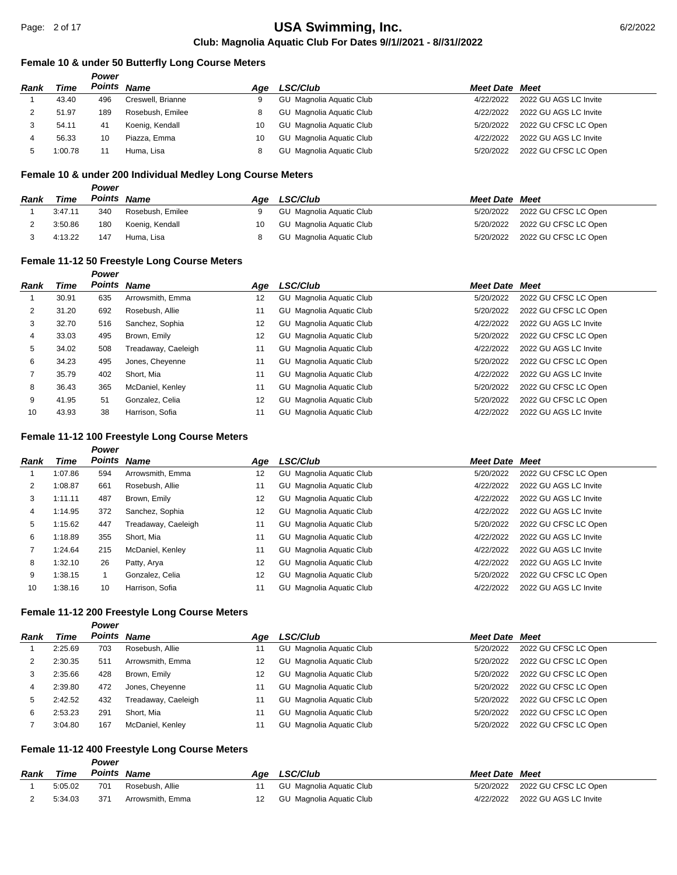# **Club: Magnolia Aquatic Club For Dates 9//1//2021 - 8//31//2022** USA Swimming, Inc. **Case 2018 17 and 2012/2022**

#### **Female 10 & under 50 Butterfly Long Course Meters**

|      |         | Power       |                   |     |                          |                       |                       |
|------|---------|-------------|-------------------|-----|--------------------------|-----------------------|-----------------------|
| Rank | Time    | Points Name |                   | Aae | <b>LSC/Club</b>          | <b>Meet Date Meet</b> |                       |
|      | 43.40   | 496         | Creswell, Brianne |     | GU Magnolia Aquatic Club | 4/22/2022             | 2022 GU AGS LC Invite |
|      | 51.97   | 189         | Rosebush, Emilee  | 8   | GU Magnolia Aquatic Club | 4/22/2022             | 2022 GU AGS LC Invite |
|      | 54.11   | 41          | Koenig, Kendall   | 10  | GU Magnolia Aquatic Club | 5/20/2022             | 2022 GU CFSC LC Open  |
|      | 56.33   | 10          | Piazza, Emma      | 10  | GU Magnolia Aquatic Club | 4/22/2022             | 2022 GU AGS LC Invite |
|      | 1:00.78 |             | Huma, Lisa        |     | GU Magnolia Aquatic Club | 5/20/2022             | 2022 GU CFSC LC Open  |

#### **Female 10 & under 200 Individual Medley Long Course Meters**

|      |         | Power       |                  |     |                          |                       |                                |
|------|---------|-------------|------------------|-----|--------------------------|-----------------------|--------------------------------|
| Rank | Time    | Points Name |                  | Aae | <b>LSC/Club</b>          | <b>Meet Date Meet</b> |                                |
|      | 3:47.11 | 340         | Rosebush, Emilee | 9   | GU Magnolia Aguatic Club |                       | 5/20/2022 2022 GU CFSC LC Open |
|      | 3:50.86 | 180         | Koenig, Kendall  | 10  | GU Magnolia Aquatic Club |                       | 5/20/2022 2022 GU CFSC LC Open |
|      | 4:13.22 | 147         | Huma, Lisa       |     | GU Magnolia Aquatic Club |                       | 5/20/2022 2022 GU CFSC LC Open |

## **Female 11-12 50 Freestyle Long Course Meters**

|      |       | <b>Power</b> |                     |     |                          |                  |                       |
|------|-------|--------------|---------------------|-----|--------------------------|------------------|-----------------------|
| Rank | Time  |              | Points Name         | Age | LSC/Club                 | <b>Meet Date</b> | Meet                  |
|      | 30.91 | 635          | Arrowsmith, Emma    | 12  | GU Magnolia Aquatic Club | 5/20/2022        | 2022 GU CFSC LC Open  |
| 2    | 31.20 | 692          | Rosebush, Allie     | 11  | GU Magnolia Aquatic Club | 5/20/2022        | 2022 GU CFSC LC Open  |
| 3    | 32.70 | 516          | Sanchez, Sophia     | 12  | GU Magnolia Aquatic Club | 4/22/2022        | 2022 GU AGS LC Invite |
| 4    | 33.03 | 495          | Brown, Emily        | 12  | GU Magnolia Aquatic Club | 5/20/2022        | 2022 GU CFSC LC Open  |
| 5    | 34.02 | 508          | Treadaway, Caeleigh | 11  | GU Magnolia Aquatic Club | 4/22/2022        | 2022 GU AGS LC Invite |
| 6    | 34.23 | 495          | Jones, Cheyenne     | 11  | GU Magnolia Aquatic Club | 5/20/2022        | 2022 GU CFSC LC Open  |
|      | 35.79 | 402          | Short, Mia          | 11  | GU Magnolia Aquatic Club | 4/22/2022        | 2022 GU AGS LC Invite |
| 8    | 36.43 | 365          | McDaniel, Kenley    | 11  | GU Magnolia Aquatic Club | 5/20/2022        | 2022 GU CFSC LC Open  |
| 9    | 41.95 | 51           | Gonzalez, Celia     | 12  | GU Magnolia Aquatic Club | 5/20/2022        | 2022 GU CFSC LC Open  |
| 10   | 43.93 | 38           | Harrison, Sofia     | 11  | GU Magnolia Aquatic Club | 4/22/2022        | 2022 GU AGS LC Invite |

## **Female 11-12 100 Freestyle Long Course Meters**

#### *Power*

| Rank | Time    | Points | Name                | Age | <b>LSC/Club</b>          | <b>Meet Date Meet</b> |                       |
|------|---------|--------|---------------------|-----|--------------------------|-----------------------|-----------------------|
|      | 1:07.86 | 594    | Arrowsmith, Emma    | 12  | GU Magnolia Aquatic Club | 5/20/2022             | 2022 GU CFSC LC Open  |
| 2    | 1:08.87 | 661    | Rosebush, Allie     | 11  | GU Magnolia Aquatic Club | 4/22/2022             | 2022 GU AGS LC Invite |
| 3    | 1:11.11 | 487    | Brown, Emily        | 12  | GU Magnolia Aguatic Club | 4/22/2022             | 2022 GU AGS LC Invite |
| 4    | 1:14.95 | 372    | Sanchez, Sophia     | 12  | GU Magnolia Aquatic Club | 4/22/2022             | 2022 GU AGS LC Invite |
| 5    | 1:15.62 | 447    | Treadaway, Caeleigh | 11  | GU Magnolia Aguatic Club | 5/20/2022             | 2022 GU CFSC LC Open  |
| 6    | 1:18.89 | 355    | Short, Mia          | 11  | GU Magnolia Aquatic Club | 4/22/2022             | 2022 GU AGS LC Invite |
|      | 1:24.64 | 215    | McDaniel, Kenley    | 11  | GU Magnolia Aquatic Club | 4/22/2022             | 2022 GU AGS LC Invite |
| 8    | 1:32.10 | 26     | Patty, Arya         | 12  | GU Magnolia Aguatic Club | 4/22/2022             | 2022 GU AGS LC Invite |
| 9    | 1:38.15 |        | Gonzalez, Celia     | 12  | GU Magnolia Aquatic Club | 5/20/2022             | 2022 GU CFSC LC Open  |
| 10   | 1:38.16 | 10     | Harrison, Sofia     | 11  | GU Magnolia Aquatic Club | 4/22/2022             | 2022 GU AGS LC Invite |

#### **Female 11-12 200 Freestyle Long Course Meters**

*Power*

| Rank | Time    | Points Name |                     | Aae | <b>LSC/Club</b>                 | <b>Meet Date Meet</b> |                      |
|------|---------|-------------|---------------------|-----|---------------------------------|-----------------------|----------------------|
|      | 2:25.69 | 703         | Rosebush, Allie     | 11  | <b>GU</b> Magnolia Aquatic Club | 5/20/2022             | 2022 GU CFSC LC Open |
|      | 2:30.35 | 511         | Arrowsmith, Emma    | 12  | <b>GU</b> Magnolia Aquatic Club | 5/20/2022             | 2022 GU CFSC LC Open |
| 3    | 2:35.66 | 428         | Brown, Emily        | 12  | GU Magnolia Aquatic Club        | 5/20/2022             | 2022 GU CFSC LC Open |
| 4    | 2:39.80 | 472         | Jones, Cheyenne     | 11  | GU Magnolia Aquatic Club        | 5/20/2022             | 2022 GU CFSC LC Open |
| 5    | 2:42.52 | 432         | Treadaway, Caeleigh | 11  | GU Magnolia Aquatic Club        | 5/20/2022             | 2022 GU CFSC LC Open |
| 6    | 2:53.23 | 291         | Short, Mia          | 11  | GU Magnolia Aquatic Club        | 5/20/2022             | 2022 GU CFSC LC Open |
|      | 3:04.80 | 167         | McDaniel, Kenley    | 11  | GU Magnolia Aquatic Club        | 5/20/2022             | 2022 GU CFSC LC Open |

## **Female 11-12 400 Freestyle Long Course Meters**

| Power |  |
|-------|--|
|       |  |

| Rank | Time    | Points Name |                  | Age LSC/Club             | <b>Meet Date Meet</b> |                       |
|------|---------|-------------|------------------|--------------------------|-----------------------|-----------------------|
|      | 5:05.02 | 701         | Rosebush. Allie  | GU Magnolia Aquatic Club | 5/20/2022             | 2022 GU CFSC LC Open  |
|      | 5:34.03 | 371         | Arrowsmith. Emma | GU Magnolia Aquatic Club | 4/22/2022             | 2022 GU AGS LC Invite |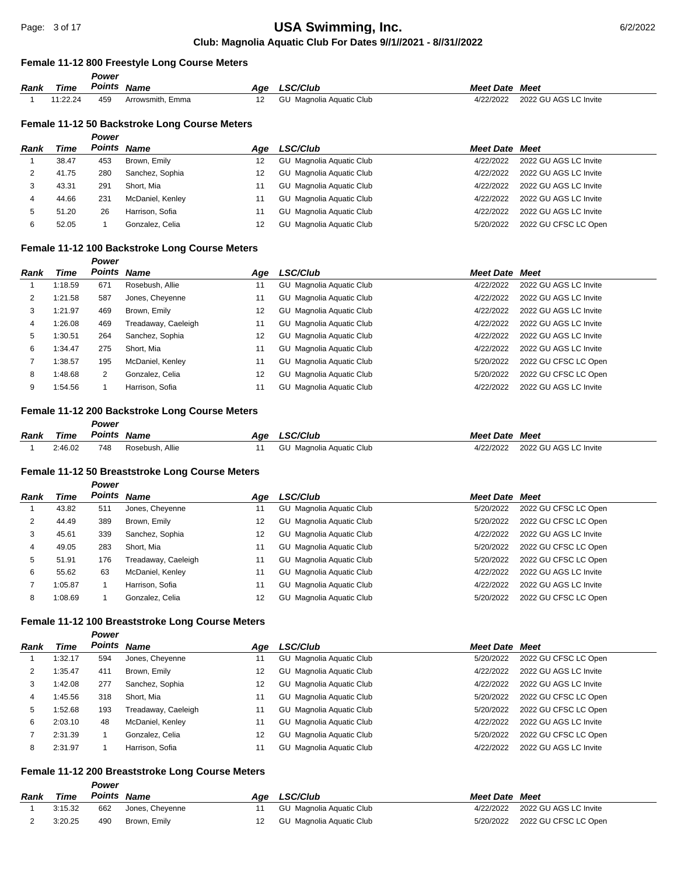#### **Female 11-12 800 Freestyle Long Course Meters**

|      |          | Power  |                  |     |                          |                       |                       |
|------|----------|--------|------------------|-----|--------------------------|-----------------------|-----------------------|
| Rank | Time     | Points | <b>Name</b>      | Age | <b>LSC/Club</b>          | <b>Meet Date Meet</b> |                       |
|      | 11:22.24 | 459    | Arrowsmith, Emma |     | GU Magnolia Aquatic Club | 4/22/2022             | 2022 GU AGS LC Invite |

#### **Female 11-12 50 Backstroke Long Course Meters**

|      |       | Power       |                  |     |                          |                       |                       |
|------|-------|-------------|------------------|-----|--------------------------|-----------------------|-----------------------|
| Rank | Time  | Points Name |                  | Age | LSC/Club                 | <b>Meet Date Meet</b> |                       |
|      | 38.47 | 453         | Brown, Emily     | 12  | GU Magnolia Aquatic Club | 4/22/2022             | 2022 GU AGS LC Invite |
|      | 41.75 | 280         | Sanchez, Sophia  | 12  | GU Magnolia Aquatic Club | 4/22/2022             | 2022 GU AGS LC Invite |
| 3    | 43.31 | 291         | Short, Mia       | 11  | GU Magnolia Aquatic Club | 4/22/2022             | 2022 GU AGS LC Invite |
| 4    | 44.66 | 231         | McDaniel, Kenley | 11  | GU Magnolia Aquatic Club | 4/22/2022             | 2022 GU AGS LC Invite |
| 5    | 51.20 | 26          | Harrison, Sofia  | 11  | GU Magnolia Aquatic Club | 4/22/2022             | 2022 GU AGS LC Invite |
| 6    | 52.05 |             | Gonzalez, Celia  | 12  | GU Magnolia Aquatic Club | 5/20/2022             | 2022 GU CFSC LC Open  |

## **Female 11-12 100 Backstroke Long Course Meters**

*Power*

*Power*

*Power*

| Rank | Time    | Points Name |                     | Aae | <b>LSC/Club</b>          | <b>Meet Date Meet</b> |                       |
|------|---------|-------------|---------------------|-----|--------------------------|-----------------------|-----------------------|
|      | 1:18.59 | 671         | Rosebush, Allie     | 11  | GU Magnolia Aquatic Club | 4/22/2022             | 2022 GU AGS LC Invite |
| 2    | 1:21.58 | 587         | Jones, Cheyenne     | 11  | GU Magnolia Aquatic Club | 4/22/2022             | 2022 GU AGS LC Invite |
| 3    | 1:21.97 | 469         | Brown, Emily        | 12  | GU Magnolia Aquatic Club | 4/22/2022             | 2022 GU AGS LC Invite |
| 4    | :26.08  | 469         | Treadaway, Caeleigh | 11  | GU Magnolia Aquatic Club | 4/22/2022             | 2022 GU AGS LC Invite |
| 5    | :30.51  | 264         | Sanchez, Sophia     | 12  | GU Magnolia Aquatic Club | 4/22/2022             | 2022 GU AGS LC Invite |
| 6    | :34.47  | 275         | Short, Mia          | 11  | GU Magnolia Aquatic Club | 4/22/2022             | 2022 GU AGS LC Invite |
|      | :38.57  | 195         | McDaniel, Kenley    | 11  | GU Magnolia Aquatic Club | 5/20/2022             | 2022 GU CFSC LC Open  |
| 8    | :48.68  | 2           | Gonzalez, Celia     | 12  | GU Magnolia Aquatic Club | 5/20/2022             | 2022 GU CFSC LC Open  |
| 9    | 1:54.56 |             | Harrison, Sofia     |     | GU Magnolia Aquatic Club | 4/22/2022             | 2022 GU AGS LC Invite |

#### **Female 11-12 200 Backstroke Long Course Meters**

| Rank | Time    | Points | Name            | Aqe | LSC/Club                      | <b>Meet Date</b> | Meet                  |
|------|---------|--------|-----------------|-----|-------------------------------|------------------|-----------------------|
|      | 2:46.02 | 748    | Rosebush, Allie |     | ' Magnolia Aquatic Club<br>GU | 4/22/2022        | 2022 GU AGS LC Invite |

#### **Female 11-12 50 Breaststroke Long Course Meters**

| <b>Rank</b> | Time    | Points Name |                     | Age | <b>LSC/Club</b>             | <b>Meet Date Meet</b> |                       |
|-------------|---------|-------------|---------------------|-----|-----------------------------|-----------------------|-----------------------|
|             | 43.82   | 511         | Jones, Cheyenne     | 11  | GU Magnolia Aquatic Club    | 5/20/2022             | 2022 GU CFSC LC Open  |
|             | 44.49   | 389         | Brown, Emily        | 12  | GU Magnolia Aquatic Club    | 5/20/2022             | 2022 GU CFSC LC Open  |
| 3           | 45.61   | 339         | Sanchez, Sophia     | 12  | GU Magnolia Aquatic Club    | 4/22/2022             | 2022 GU AGS LC Invite |
| 4           | 49.05   | 283         | Short, Mia          | 11  | GU Magnolia Aquatic Club    | 5/20/2022             | 2022 GU CFSC LC Open  |
| 5           | 51.91   | 176         | Treadaway, Caeleigh | 11  | GU Magnolia Aquatic Club    | 5/20/2022             | 2022 GU CFSC LC Open  |
| 6           | 55.62   | 63          | McDaniel, Kenley    | 11  | GU Magnolia Aquatic Club    | 4/22/2022             | 2022 GU AGS LC Invite |
|             | 1:05.87 |             | Harrison, Sofia     | 11  | GU Magnolia Aquatic Club    | 4/22/2022             | 2022 GU AGS LC Invite |
| 8           | 1:08.69 |             | Gonzalez, Celia     | 12  | Magnolia Aguatic Club<br>GU | 5/20/2022             | 2022 GU CFSC LC Open  |

## **Female 11-12 100 Breaststroke Long Course Meters**

|  | Power                            |     |
|--|----------------------------------|-----|
|  | <b>D</b> = <i>i</i> = <i>i</i> = | . . |

| Rank | Time    | Points Name |                     | Age | LSC/Club                        | <b>Meet Date Meet</b> |                       |
|------|---------|-------------|---------------------|-----|---------------------------------|-----------------------|-----------------------|
|      | 1:32.17 | 594         | Jones, Cheyenne     | 11  | <b>GU</b> Magnolia Aquatic Club | 5/20/2022             | 2022 GU CFSC LC Open  |
|      | 1:35.47 | 411         | Brown, Emily        | 12  | GU Magnolia Aquatic Club        | 4/22/2022             | 2022 GU AGS LC Invite |
| 3    | 1:42.08 | 277         | Sanchez, Sophia     | 12  | GU Magnolia Aquatic Club        | 4/22/2022             | 2022 GU AGS LC Invite |
| 4    | 1:45.56 | 318         | Short, Mia          | 11  | GU Magnolia Aquatic Club        | 5/20/2022             | 2022 GU CFSC LC Open  |
| 5    | 1:52.68 | 193         | Treadaway, Caeleigh |     | GU Magnolia Aquatic Club        | 5/20/2022             | 2022 GU CFSC LC Open  |
| 6    | 2:03.10 | 48          | McDaniel, Kenley    | 11  | GU Magnolia Aquatic Club        | 4/22/2022             | 2022 GU AGS LC Invite |
|      | 2:31.39 |             | Gonzalez, Celia     | 12  | GU Magnolia Aquatic Club        | 5/20/2022             | 2022 GU CFSC LC Open  |
| 8    | 2:31.97 |             | Harrison, Sofia     |     | GU Magnolia Aquatic Club        | 4/22/2022             | 2022 GU AGS LC Invite |

#### **Female 11-12 200 Breaststroke Long Course Meters**

| Rank | Time    | Points Name |                 | Age LSC/Club                | <b>Meet Date Meet</b> |                                 |
|------|---------|-------------|-----------------|-----------------------------|-----------------------|---------------------------------|
|      | 3:15.32 | 662         | Jones, Cheyenne | 11 GU Magnolia Aguatic Club |                       | 4/22/2022 2022 GU AGS LC Invite |
|      | 3:20.25 | 490         | Brown. Emilv    | 12 GU Magnolia Aguatic Club |                       | 5/20/2022 2022 GU CFSC LC Open  |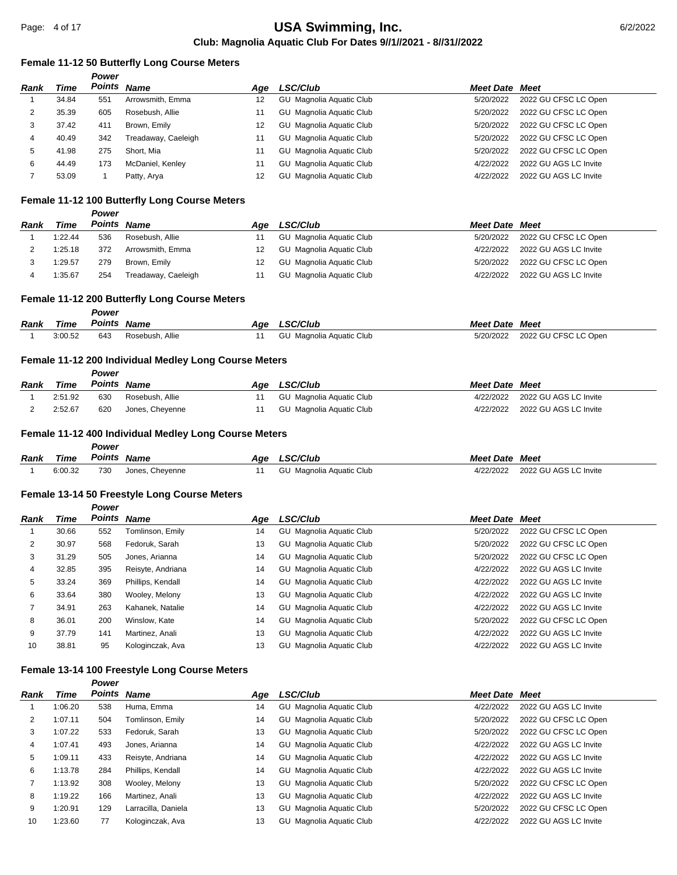#### **Female 11-12 50 Butterfly Long Course Meters**

|      |       | <b>Power</b> |                     |     |                          |                       |                       |
|------|-------|--------------|---------------------|-----|--------------------------|-----------------------|-----------------------|
| Rank | Time  | Points Name  |                     | Aae | <b>LSC/Club</b>          | <b>Meet Date Meet</b> |                       |
|      | 34.84 | 551          | Arrowsmith, Emma    | 12  | GU Magnolia Aguatic Club | 5/20/2022             | 2022 GU CFSC LC Open  |
| 2    | 35.39 | 605          | Rosebush, Allie     |     | GU Magnolia Aquatic Club | 5/20/2022             | 2022 GU CFSC LC Open  |
| 3    | 37.42 | 411          | Brown, Emily        | 12  | GU Magnolia Aquatic Club | 5/20/2022             | 2022 GU CFSC LC Open  |
| 4    | 40.49 | 342          | Treadaway, Caeleigh |     | GU Magnolia Aquatic Club | 5/20/2022             | 2022 GU CFSC LC Open  |
| 5    | 41.98 | 275          | Short, Mia          | 11  | GU Magnolia Aquatic Club | 5/20/2022             | 2022 GU CFSC LC Open  |
| 6    | 44.49 | 173          | McDaniel, Kenley    | 11  | GU Magnolia Aquatic Club | 4/22/2022             | 2022 GU AGS LC Invite |
|      | 53.09 |              | Patty, Arya         | 12  | GU Magnolia Aquatic Club | 4/22/2022             | 2022 GU AGS LC Invite |

## **Female 11-12 100 Butterfly Long Course Meters**

|      |         | Power       |                     |     |                          |                       |                       |
|------|---------|-------------|---------------------|-----|--------------------------|-----------------------|-----------------------|
| Rank | Time    | Points Name |                     | Aae | <b>LSC/Club</b>          | <b>Meet Date Meet</b> |                       |
|      | 1:22.44 | 536         | Rosebush, Allie     |     | GU Magnolia Aquatic Club | 5/20/2022             | 2022 GU CFSC LC Open  |
|      | 1:25.18 | 372         | Arrowsmith, Emma    | 12  | GU Magnolia Aquatic Club | 4/22/2022             | 2022 GU AGS LC Invite |
|      | 1:29.57 | 279         | Brown, Emily        | 12  | GU Magnolia Aguatic Club | 5/20/2022             | 2022 GU CFSC LC Open  |
|      | :35.67  | 254         | Treadaway, Caeleigh |     | GU Magnolia Aquatic Club | 4/22/2022             | 2022 GU AGS LC Invite |

#### **Female 11-12 200 Butterfly Long Course Meters**

|      |         | Power       |                 |     |                          |                       |                      |
|------|---------|-------------|-----------------|-----|--------------------------|-----------------------|----------------------|
| Rank | Time    | Points Name |                 | Age | <b>LSC/Club</b>          | <b>Meet Date Meet</b> |                      |
|      | 3:00.52 | 643         | Rosebush, Allie |     | GU Magnolia Aquatic Club | 5/20/2022             | 2022 GU CFSC LC Open |

## **Female 11-12 200 Individual Medley Long Course Meters**

|      |         | Power  |                 |     |                          |                       |                       |
|------|---------|--------|-----------------|-----|--------------------------|-----------------------|-----------------------|
| Rank | Time    | Points | Name            | Aae | <b>LSC/Club</b>          | <b>Meet Date Meet</b> |                       |
|      | 2:51.92 | 630    | Rosebush, Allie |     | GU Magnolia Aquatic Club | 4/22/2022             | 2022 GU AGS LC Invite |
|      | 2:52.67 | 620    | Jones, Cheyenne |     | GU Magnolia Aguatic Club | 4/22/2022             | 2022 GU AGS LC Invite |

#### **Female 11-12 400 Individual Medley Long Course Meters**

|      |         | Power       |                 |     |                          |                       |                       |
|------|---------|-------------|-----------------|-----|--------------------------|-----------------------|-----------------------|
| Rank | Time    | Points Name |                 | Age | <b>LSC/Club</b>          | <b>Meet Date Meet</b> |                       |
|      | 6:00.32 | 730         | Jones, Cheyenne |     | GU Magnolia Aguatic Club | 4/22/2022             | 2022 GU AGS LC Invite |

#### **Female 13-14 50 Freestyle Long Course Meters**

*Power*

| Rank | Time  | Points Name |                   | Age | LSC/Club                 | <b>Meet Date Meet</b> |                       |
|------|-------|-------------|-------------------|-----|--------------------------|-----------------------|-----------------------|
|      | 30.66 | 552         | Tomlinson, Emily  | 14  | GU Magnolia Aquatic Club | 5/20/2022             | 2022 GU CFSC LC Open  |
| 2    | 30.97 | 568         | Fedoruk, Sarah    | 13  | GU Magnolia Aquatic Club | 5/20/2022             | 2022 GU CFSC LC Open  |
| 3    | 31.29 | 505         | Jones, Arianna    | 14  | GU Magnolia Aquatic Club | 5/20/2022             | 2022 GU CFSC LC Open  |
| 4    | 32.85 | 395         | Reisyte, Andriana | 14  | GU Magnolia Aquatic Club | 4/22/2022             | 2022 GU AGS LC Invite |
| 5    | 33.24 | 369         | Phillips, Kendall | 14  | GU Magnolia Aquatic Club | 4/22/2022             | 2022 GU AGS LC Invite |
| 6    | 33.64 | 380         | Wooley, Melony    | 13  | GU Magnolia Aquatic Club | 4/22/2022             | 2022 GU AGS LC Invite |
|      | 34.91 | 263         | Kahanek, Natalie  | 14  | GU Magnolia Aquatic Club | 4/22/2022             | 2022 GU AGS LC Invite |
| 8    | 36.01 | 200         | Winslow, Kate     | 14  | GU Magnolia Aquatic Club | 5/20/2022             | 2022 GU CFSC LC Open  |
| 9    | 37.79 | 141         | Martinez, Anali   | 13  | GU Magnolia Aquatic Club | 4/22/2022             | 2022 GU AGS LC Invite |
| 10   | 38.81 | 95          | Kologinczak, Ava  | 13  | GU Magnolia Aquatic Club | 4/22/2022             | 2022 GU AGS LC Invite |

#### **Female 13-14 100 Freestyle Long Course Meters**

| Rank | Time    |     | Points Name         | Age | LSC/Club                 | <b>Meet Date Meet</b> |                       |
|------|---------|-----|---------------------|-----|--------------------------|-----------------------|-----------------------|
|      | 1:06.20 | 538 | Huma, Emma          | 14  | GU Magnolia Aquatic Club | 4/22/2022             | 2022 GU AGS LC Invite |
| 2    | 1:07.11 | 504 | Tomlinson, Emily    | 14  | GU Magnolia Aquatic Club | 5/20/2022             | 2022 GU CFSC LC Open  |
| 3    | 1:07.22 | 533 | Fedoruk, Sarah      | 13  | GU Magnolia Aquatic Club | 5/20/2022             | 2022 GU CFSC LC Open  |
| 4    | 1:07.41 | 493 | Jones, Arianna      | 14  | GU Magnolia Aquatic Club | 4/22/2022             | 2022 GU AGS LC Invite |
| 5    | 1:09.11 | 433 | Reisyte, Andriana   | 14  | GU Magnolia Aquatic Club | 4/22/2022             | 2022 GU AGS LC Invite |
| 6    | 1:13.78 | 284 | Phillips, Kendall   | 14  | GU Magnolia Aquatic Club | 4/22/2022             | 2022 GU AGS LC Invite |
|      | 1:13.92 | 308 | Wooley, Melony      | 13  | GU Magnolia Aquatic Club | 5/20/2022             | 2022 GU CFSC LC Open  |
| 8    | 1:19.22 | 166 | Martinez, Anali     | 13  | GU Magnolia Aquatic Club | 4/22/2022             | 2022 GU AGS LC Invite |
| 9    | 1:20.91 | 129 | Larracilla, Daniela | 13  | GU Magnolia Aquatic Club | 5/20/2022             | 2022 GU CFSC LC Open  |
| 10   | 1:23.60 | 77  | Kologinczak, Ava    | 13  | GU Magnolia Aquatic Club | 4/22/2022             | 2022 GU AGS LC Invite |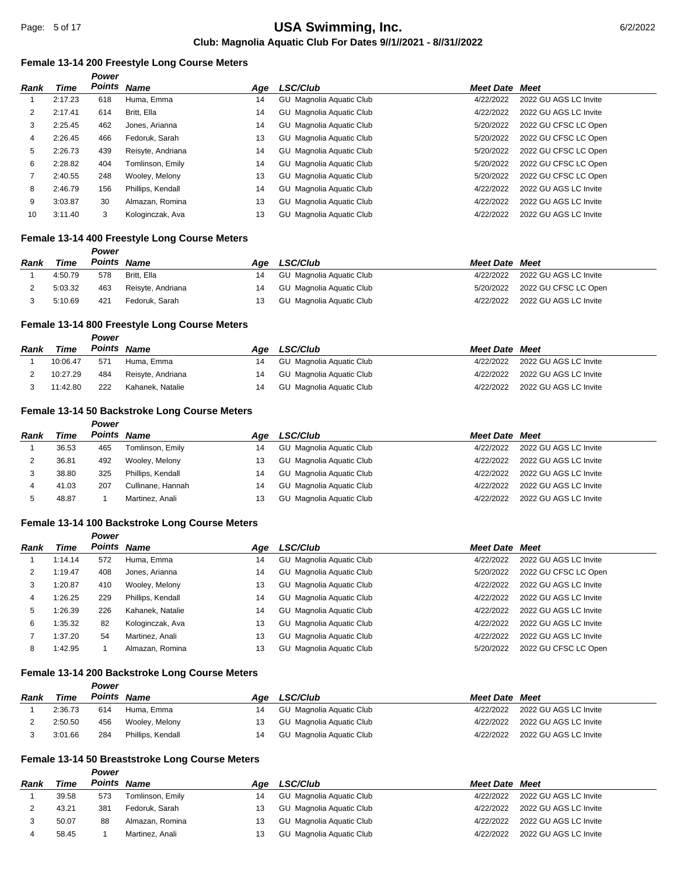#### **Female 13-14 200 Freestyle Long Course Meters**

|      |         | Power              |                   |     |                                 |                       |                       |
|------|---------|--------------------|-------------------|-----|---------------------------------|-----------------------|-----------------------|
| Rank | Time    | <b>Points Name</b> |                   | Age | LSC/Club                        | <b>Meet Date Meet</b> |                       |
|      | 2:17.23 | 618                | Huma, Emma        | 14  | GU Magnolia Aquatic Club        | 4/22/2022             | 2022 GU AGS LC Invite |
| 2    | 2:17.41 | 614                | Britt, Ella       | 14  | GU Magnolia Aquatic Club        | 4/22/2022             | 2022 GU AGS LC Invite |
| 3    | 2:25.45 | 462                | Jones, Arianna    | 14  | GU Magnolia Aquatic Club        | 5/20/2022             | 2022 GU CFSC LC Open  |
| 4    | 2:26.45 | 466                | Fedoruk, Sarah    | 13  | <b>GU</b> Magnolia Aquatic Club | 5/20/2022             | 2022 GU CFSC LC Open  |
| 5    | 2:26.73 | 439                | Reisyte, Andriana | 14  | <b>GU</b> Magnolia Aquatic Club | 5/20/2022             | 2022 GU CFSC LC Open  |
| 6    | 2:28.82 | 404                | Tomlinson, Emily  | 14  | GU Magnolia Aquatic Club        | 5/20/2022             | 2022 GU CFSC LC Open  |
|      | 2:40.55 | 248                | Wooley, Melony    | 13  | <b>GU</b> Magnolia Aquatic Club | 5/20/2022             | 2022 GU CFSC LC Open  |
| 8    | 2:46.79 | 156                | Phillips, Kendall | 14  | <b>GU</b> Magnolia Aquatic Club | 4/22/2022             | 2022 GU AGS LC Invite |
| 9    | 3:03.87 | 30                 | Almazan, Romina   | 13  | Magnolia Aguatic Club<br>GU     | 4/22/2022             | 2022 GU AGS LC Invite |
| 10   | 3:11.40 | 3                  | Kologinczak, Ava  | 13  | GU Magnolia Aquatic Club        | 4/22/2022             | 2022 GU AGS LC Invite |

#### **Female 13-14 400 Freestyle Long Course Meters**

|      |         | Power<br>Points Name |                   |     |                          |                       |                                |
|------|---------|----------------------|-------------------|-----|--------------------------|-----------------------|--------------------------------|
| Rank | Time    |                      |                   | Aae | <b>LSC/Club</b>          | <b>Meet Date Meet</b> |                                |
|      | 4:50.79 | 578                  | Britt, Ella       | 14  | GU Magnolia Aguatic Club | 4/22/2022             | 2022 GU AGS LC Invite          |
|      | 5:03.32 | 463                  | Reisyte, Andriana | 14  | GU Magnolia Aguatic Club |                       | 5/20/2022 2022 GU CFSC LC Open |
|      | 5:10.69 | 421                  | Fedoruk. Sarah    | 13  | GU Magnolia Aguatic Club | 4/22/2022             | 2022 GU AGS LC Invite          |

## **Female 13-14 800 Freestyle Long Course Meters**

|      |             | Power       |                   |     |                          |                       |                       |
|------|-------------|-------------|-------------------|-----|--------------------------|-----------------------|-----------------------|
| Rank | <b>Time</b> | Points Name |                   | Aae | <b>LSC/Club</b>          | <b>Meet Date Meet</b> |                       |
|      | 10:06.47    | 571         | Huma. Emma        | 14  | GU Magnolia Aguatic Club | 4/22/2022             | 2022 GU AGS LC Invite |
|      | 10:27.29    | 484         | Reisyte, Andriana | 14  | GU Magnolia Aguatic Club | 4/22/2022             | 2022 GU AGS LC Invite |
|      | 11:42.80    | 222         | Kahanek. Natalie  | 14  | GU Magnolia Aguatic Club | 4/22/2022             | 2022 GU AGS LC Invite |

#### **Female 13-14 50 Backstroke Long Course Meters**

*Power*

| <b>Rank</b> | Time  |     | Points Name       | Aae | <b>LSC/Club</b>          | <b>Meet Date Meet</b> |                       |
|-------------|-------|-----|-------------------|-----|--------------------------|-----------------------|-----------------------|
|             | 36.53 | 465 | Tomlinson, Emily  | 14  | GU Magnolia Aquatic Club | 4/22/2022             | 2022 GU AGS LC Invite |
| ∼           | 36.81 | 492 | Wooley, Melony    | 13  | GU Magnolia Aquatic Club | 4/22/2022             | 2022 GU AGS LC Invite |
|             | 38.80 | 325 | Phillips, Kendall | 14  | GU Magnolia Aquatic Club | 4/22/2022             | 2022 GU AGS LC Invite |
|             | 41.03 | 207 | Cullinane, Hannah | 14  | GU Magnolia Aquatic Club | 4/22/2022             | 2022 GU AGS LC Invite |
|             | 48.87 |     | Martinez, Anali   | 13  | GU Magnolia Aguatic Club | 4/22/2022             | 2022 GU AGS LC Invite |

## **Female 13-14 100 Backstroke Long Course Meters**

|      |         | Power       |                   |     |                             |                       |                       |
|------|---------|-------------|-------------------|-----|-----------------------------|-----------------------|-----------------------|
| Rank | Time    | Points Name |                   | Aqe | <b>LSC/Club</b>             | <b>Meet Date Meet</b> |                       |
|      | 1:14.14 | 572         | Huma, Emma        | 14  | GU Magnolia Aquatic Club    | 4/22/2022             | 2022 GU AGS LC Invite |
| 2    | 1:19.47 | 408         | Jones, Arianna    | 14  | GU Magnolia Aquatic Club    | 5/20/2022             | 2022 GU CFSC LC Open  |
| 3    | 1:20.87 | 410         | Wooley, Melony    | 13  | GU Magnolia Aquatic Club    | 4/22/2022             | 2022 GU AGS LC Invite |
| 4    | 1:26.25 | 229         | Phillips, Kendall | 14  | GU Magnolia Aquatic Club    | 4/22/2022             | 2022 GU AGS LC Invite |
| 5    | 1:26.39 | 226         | Kahanek, Natalie  | 14  | GU Magnolia Aquatic Club    | 4/22/2022             | 2022 GU AGS LC Invite |
| 6    | 1:35.32 | 82          | Kologinczak, Ava  | 13  | Magnolia Aguatic Club<br>GU | 4/22/2022             | 2022 GU AGS LC Invite |
|      | 1:37.20 | 54          | Martinez, Anali   | 13  | Magnolia Aguatic Club<br>GU | 4/22/2022             | 2022 GU AGS LC Invite |
| 8    | 1:42.95 |             | Almazan, Romina   | 13  | Magnolia Aguatic Club<br>GU | 5/20/2022             | 2022 GU CFSC LC Open  |

# **Female 13-14 200 Backstroke Long Course Meters**

#### *Power*

| <b>Rank</b> | Time    | Points Name |                   | Aae | <b>LSC/Club</b>          | <b>Meet Date Meet</b> |                       |
|-------------|---------|-------------|-------------------|-----|--------------------------|-----------------------|-----------------------|
|             | 2:36.73 | 614         | Huma, Emma        |     | GU Magnolia Aguatic Club | 4/22/2022             | 2022 GU AGS LC Invite |
| ∸           | 2:50.50 | 456         | Wooley, Melony    | 13  | GU Magnolia Aguatic Club | 4/22/2022             | 2022 GU AGS LC Invite |
|             | 3:01.66 | 284         | Phillips, Kendall |     | GU Magnolia Aguatic Club | 4/22/2022             | 2022 GU AGS LC Invite |

## **Female 13-14 50 Breaststroke Long Course Meters**

| Rank | Time  | Points | Name             | Aae | <b>LSC/Club</b>          | <b>Meet Date Meet</b> |                       |
|------|-------|--------|------------------|-----|--------------------------|-----------------------|-----------------------|
|      | 39.58 | 573    | Tomlinson, Emily | 14  | GU Magnolia Aguatic Club | 4/22/2022             | 2022 GU AGS LC Invite |
|      | 43.21 | 381    | Fedoruk, Sarah   |     | GU Magnolia Aquatic Club | 4/22/2022             | 2022 GU AGS LC Invite |
|      | 50.07 | 88     | Almazan, Romina  |     | GU Magnolia Aquatic Club | 4/22/2022             | 2022 GU AGS LC Invite |
|      | 58.45 |        | Martinez, Anali  |     | GU Magnolia Aquatic Club | 4/22/2022             | 2022 GU AGS LC Invite |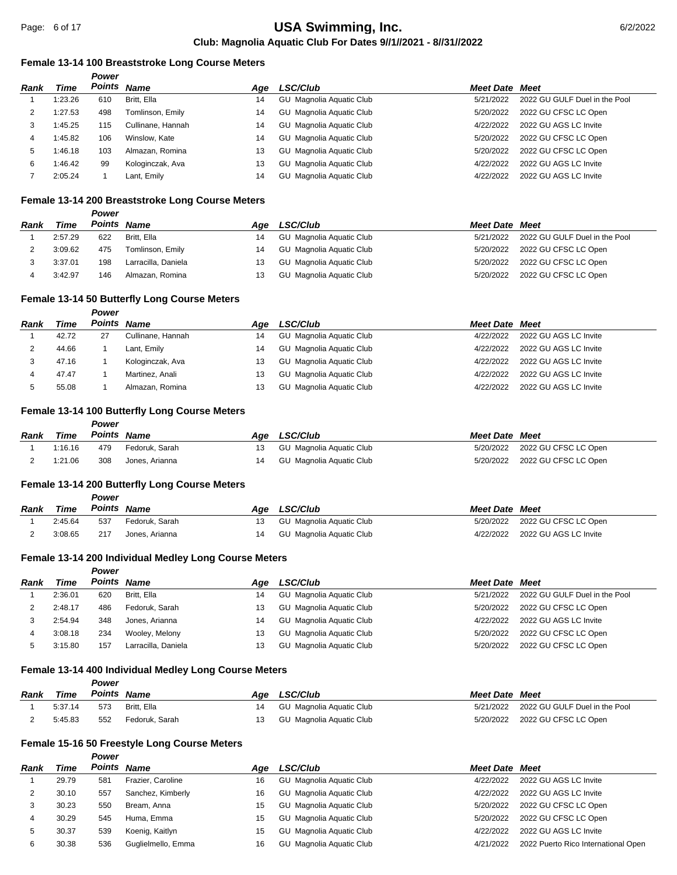#### **Female 13-14 100 Breaststroke Long Course Meters**

|      |         | Power       |                   |     |                          |                       |                               |
|------|---------|-------------|-------------------|-----|--------------------------|-----------------------|-------------------------------|
| Rank | Time    | Points Name |                   | Aae | <b>LSC/Club</b>          | <b>Meet Date Meet</b> |                               |
|      | 1:23.26 | 610         | Britt, Ella       | 14  | GU Magnolia Aquatic Club | 5/21/2022             | 2022 GU GULF Duel in the Pool |
|      | 1:27.53 | 498         | Tomlinson, Emily  | 14  | GU Magnolia Aquatic Club | 5/20/2022             | 2022 GU CFSC LC Open          |
| 3    | 1:45.25 | 115         | Cullinane, Hannah | 14  | GU Magnolia Aquatic Club | 4/22/2022             | 2022 GU AGS LC Invite         |
| 4    | 1:45.82 | 106         | Winslow, Kate     | 14  | GU Magnolia Aquatic Club | 5/20/2022             | 2022 GU CFSC LC Open          |
| 5    | 1:46.18 | 103         | Almazan, Romina   | 13  | GU Magnolia Aquatic Club | 5/20/2022             | 2022 GU CFSC LC Open          |
| 6    | 1:46.42 | 99          | Kologinczak, Ava  | 13  | GU Magnolia Aquatic Club | 4/22/2022             | 2022 GU AGS LC Invite         |
|      | 2:05.24 |             | Lant, Emily       | 14  | GU Magnolia Aquatic Club | 4/22/2022             | 2022 GU AGS LC Invite         |

## **Female 13-14 200 Breaststroke Long Course Meters**

#### *Power*

| Rank | Time    | Points Name |                     | Aae | <b>LSC/Club</b>          | <b>Meet Date Meet</b> |                               |
|------|---------|-------------|---------------------|-----|--------------------------|-----------------------|-------------------------------|
|      | 2:57.29 | 622         | Britt, Ella         | 14  | GU Magnolia Aguatic Club | 5/21/2022             | 2022 GU GULF Duel in the Pool |
|      | 3:09.62 | 475         | Tomlinson, Emily    | 14  | GU Magnolia Aguatic Club | 5/20/2022             | 2022 GU CFSC LC Open          |
|      | 3:37.01 | 198         | Larracilla, Daniela | 13  | GU Magnolia Aguatic Club | 5/20/2022             | 2022 GU CFSC LC Open          |
|      | 3:42.97 | 146         | Almazan, Romina     |     | GU Magnolia Aguatic Club | 5/20/2022             | 2022 GU CFSC LC Open          |

#### **Female 13-14 50 Butterfly Long Course Meters**

*Power*

*Power*

| Rank | Time  | Points | <b>Name</b>       | Aae | <b>LSC/Club</b>          | <b>Meet Date Meet</b> |                       |
|------|-------|--------|-------------------|-----|--------------------------|-----------------------|-----------------------|
|      | 42.72 | 27     | Cullinane, Hannah | 14  | GU Magnolia Aquatic Club | 4/22/2022             | 2022 GU AGS LC Invite |
|      | 44.66 |        | Lant, Emily       | 14  | GU Magnolia Aquatic Club | 4/22/2022             | 2022 GU AGS LC Invite |
|      | 47.16 |        | Kologinczak, Ava  | 13  | GU Magnolia Aquatic Club | 4/22/2022             | 2022 GU AGS LC Invite |
|      | 47.47 |        | Martinez, Anali   | 13  | GU Magnolia Aquatic Club | 4/22/2022             | 2022 GU AGS LC Invite |
|      | 55.08 |        | Almazan, Romina   | 13  | GU Magnolia Aquatic Club | 4/22/2022             | 2022 GU AGS LC Invite |

#### **Female 13-14 100 Butterfly Long Course Meters**

| Rank | Time    | Points Name |                | Age LSC/Club                | <b>Meet Date Meet</b> |                                |
|------|---------|-------------|----------------|-----------------------------|-----------------------|--------------------------------|
|      | 1:16.16 | 479         | Fedoruk. Sarah | 13 GU Magnolia Aquatic Club |                       | 5/20/2022 2022 GU CFSC LC Open |
|      | 1:21.06 | 308         | Jones. Arianna | 14 GU Magnolia Aguatic Club |                       | 5/20/2022 2022 GU CFSC LC Open |

#### **Female 13-14 200 Butterfly Long Course Meters**

|      |         | Power  |                |     |                          |                       |                                |
|------|---------|--------|----------------|-----|--------------------------|-----------------------|--------------------------------|
| Rank | Time    | Points | <b>Name</b>    | Aae | <b>LSC/Club</b>          | <b>Meet Date Meet</b> |                                |
|      | 2:45.64 | 537    | Fedoruk, Sarah |     | GU Magnolia Aquatic Club |                       | 5/20/2022 2022 GU CFSC LC Open |
|      | 3:08.65 | 217    | Jones. Arianna |     | GU Magnolia Aquatic Club | 4/22/2022             | 2022 GU AGS LC Invite          |

## **Female 13-14 200 Individual Medley Long Course Meters**

|      |         | Power |                     |     |                          |                       |                               |
|------|---------|-------|---------------------|-----|--------------------------|-----------------------|-------------------------------|
| Rank | Time    |       | Points Name         | Aae | LSC/Club                 | <b>Meet Date Meet</b> |                               |
|      | 2:36.01 | 620   | Britt, Ella         | 14  | GU Magnolia Aquatic Club | 5/21/2022             | 2022 GU GULF Duel in the Pool |
|      | 2:48.17 | 486   | Fedoruk, Sarah      | 13  | GU Magnolia Aquatic Club | 5/20/2022             | 2022 GU CFSC LC Open          |
|      | 2:54.94 | 348   | Jones, Arianna      | 14  | GU Magnolia Aquatic Club | 4/22/2022             | 2022 GU AGS LC Invite         |
|      | 3:08.18 | 234   | Wooley, Melony      | 13  | GU Magnolia Aquatic Club | 5/20/2022             | 2022 GU CFSC LC Open          |
|      | 3:15.80 | 157   | Larracilla, Daniela | 13  | GU Magnolia Aquatic Club | 5/20/2022             | 2022 GU CFSC LC Open          |

## **Female 13-14 400 Individual Medley Long Course Meters**

|      |         | Power       |                |     |                          |                       |                                         |
|------|---------|-------------|----------------|-----|--------------------------|-----------------------|-----------------------------------------|
| Rank | Time    | Points Name |                | Aae | <b>LSC/Club</b>          | <b>Meet Date Meet</b> |                                         |
|      | 5:37.14 | 573         | Britt, Ella    | 14  | GU Magnolia Aguatic Club |                       | 5/21/2022 2022 GU GULF Duel in the Pool |
|      | 5:45.83 | 552         | Fedoruk. Sarah | 13  | GU Magnolia Aguatic Club |                       | 5/20/2022 2022 GU CFSC LC Open          |

## **Female 15-16 50 Freestyle Long Course Meters**

| Rank | Time  | Points Name |                    | Aae | <b>LSC/Club</b>                 | <b>Meet Date Meet</b> |                                     |
|------|-------|-------------|--------------------|-----|---------------------------------|-----------------------|-------------------------------------|
|      | 29.79 | 581         | Frazier, Caroline  | 16  | <b>GU</b> Magnolia Aquatic Club | 4/22/2022             | 2022 GU AGS LC Invite               |
|      | 30.10 | 557         | Sanchez, Kimberly  | 16  | <b>GU</b> Magnolia Aquatic Club | 4/22/2022             | 2022 GU AGS LC Invite               |
|      | 30.23 | 550         | Bream, Anna        | 15  | GU Magnolia Aquatic Club        | 5/20/2022             | 2022 GU CFSC LC Open                |
|      | 30.29 | 545         | Huma, Emma         | 15  | <b>GU</b> Magnolia Aquatic Club | 5/20/2022             | 2022 GU CFSC LC Open                |
|      | 30.37 | 539         | Koenig, Kaitlyn    | 15  | GU Magnolia Aquatic Club        | 4/22/2022             | 2022 GU AGS LC Invite               |
|      | 30.38 | 536         | Guglielmello, Emma | 16  | GU Magnolia Aquatic Club        | 4/21/2022             | 2022 Puerto Rico International Open |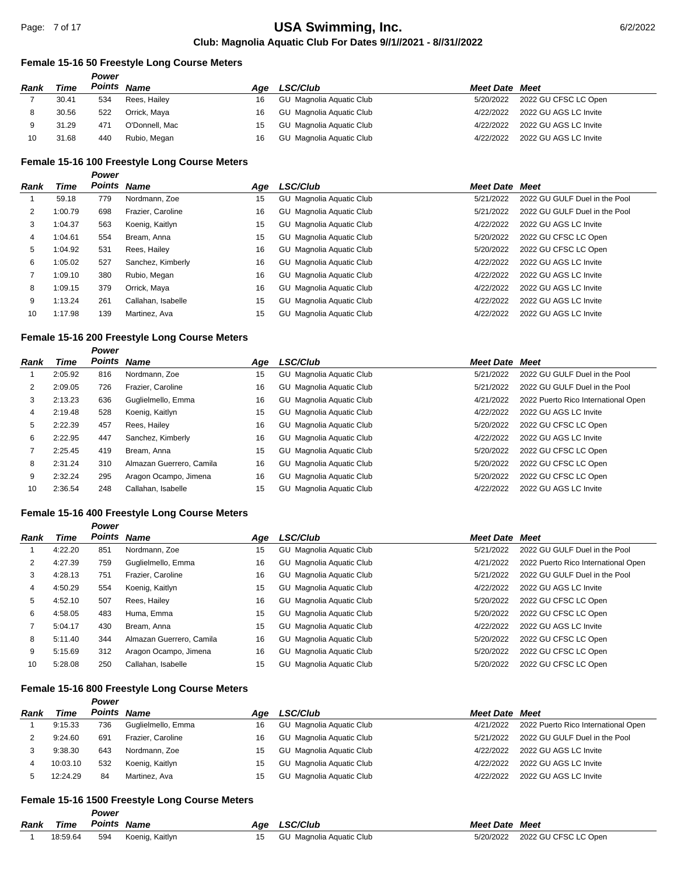## **Female 15-16 50 Freestyle Long Course Meters**

|      |       | Power  |                |     |                          |                       |                       |
|------|-------|--------|----------------|-----|--------------------------|-----------------------|-----------------------|
| Rank | Time  | Points | <b>Name</b>    | Aae | <b>LSC/Club</b>          | <b>Meet Date Meet</b> |                       |
|      | 30.41 | 534    | Rees, Hailey   | 16  | GU Magnolia Aquatic Club | 5/20/2022             | 2022 GU CFSC LC Open  |
|      | 30.56 | 522    | Orrick, Maya   | 16  | GU Magnolia Aguatic Club | 4/22/2022             | 2022 GU AGS LC Invite |
|      | 31.29 | 471    | O'Donnell, Mac | 15  | GU Magnolia Aquatic Club | 4/22/2022             | 2022 GU AGS LC Invite |
| 10   | 31.68 | 440    | Rubio, Megan   | 16  | GU Magnolia Aguatic Club | 4/22/2022             | 2022 GU AGS LC Invite |

## **Female 15-16 100 Freestyle Long Course Meters**

#### *Power*

| Rank | Time    | <b>Points Name</b> |                    | Age | LSC/Club                 | <b>Meet Date Meet</b> |                               |
|------|---------|--------------------|--------------------|-----|--------------------------|-----------------------|-------------------------------|
|      | 59.18   | 779                | Nordmann, Zoe      | 15  | GU Magnolia Aquatic Club | 5/21/2022             | 2022 GU GULF Duel in the Pool |
| 2    | 1:00.79 | 698                | Frazier, Caroline  | 16  | GU Magnolia Aquatic Club | 5/21/2022             | 2022 GU GULF Duel in the Pool |
| 3    | 1:04.37 | 563                | Koenig, Kaitlyn    | 15  | GU Magnolia Aquatic Club | 4/22/2022             | 2022 GU AGS LC Invite         |
| 4    | 1:04.61 | 554                | Bream, Anna        | 15  | GU Magnolia Aquatic Club | 5/20/2022             | 2022 GU CFSC LC Open          |
| 5    | 1:04.92 | 531                | Rees, Hailey       | 16  | GU Magnolia Aquatic Club | 5/20/2022             | 2022 GU CFSC LC Open          |
| 6    | 1:05.02 | 527                | Sanchez, Kimberly  | 16  | GU Magnolia Aquatic Club | 4/22/2022             | 2022 GU AGS LC Invite         |
|      | 1:09.10 | 380                | Rubio, Megan       | 16  | GU Magnolia Aquatic Club | 4/22/2022             | 2022 GU AGS LC Invite         |
| 8    | 1:09.15 | 379                | Orrick, Maya       | 16  | GU Magnolia Aquatic Club | 4/22/2022             | 2022 GU AGS LC Invite         |
| 9    | 1:13.24 | 261                | Callahan, Isabelle | 15  | GU Magnolia Aquatic Club | 4/22/2022             | 2022 GU AGS LC Invite         |
| 10   | 1:17.98 | 139                | Martinez. Ava      | 15  | GU Magnolia Aquatic Club | 4/22/2022             | 2022 GU AGS LC Invite         |

#### **Female 15-16 200 Freestyle Long Course Meters**

*Power*

| Rank | Time    |     | Points Name              | Aqe | <b>LSC/Club</b>                 | Meet Date | Meet                                |
|------|---------|-----|--------------------------|-----|---------------------------------|-----------|-------------------------------------|
|      | 2:05.92 | 816 | Nordmann, Zoe            | 15  | GU Magnolia Aquatic Club        | 5/21/2022 | 2022 GU GULF Duel in the Pool       |
| 2    | 2:09.05 | 726 | Frazier, Caroline        | 16  | <b>GU</b> Magnolia Aquatic Club | 5/21/2022 | 2022 GU GULF Duel in the Pool       |
| 3    | 2:13.23 | 636 | Guglielmello, Emma       | 16  | <b>GU</b> Magnolia Aquatic Club | 4/21/2022 | 2022 Puerto Rico International Open |
| 4    | 2:19.48 | 528 | Koenig, Kaitlyn          | 15  | GU Magnolia Aquatic Club        | 4/22/2022 | 2022 GU AGS LC Invite               |
| 5    | 2:22.39 | 457 | Rees, Hailey             | 16  | GU Magnolia Aquatic Club        | 5/20/2022 | 2022 GU CFSC LC Open                |
| 6    | 2:22.95 | 447 | Sanchez, Kimberly        | 16  | <b>GU</b> Magnolia Aquatic Club | 4/22/2022 | 2022 GU AGS LC Invite               |
|      | 2:25.45 | 419 | Bream, Anna              | 15  | Magnolia Aguatic Club<br>GU     | 5/20/2022 | 2022 GU CFSC LC Open                |
| 8    | 2:31.24 | 310 | Almazan Guerrero, Camila | 16  | GU Magnolia Aquatic Club        | 5/20/2022 | 2022 GU CFSC LC Open                |
| 9    | 2:32.24 | 295 | Aragon Ocampo, Jimena    | 16  | Magnolia Aguatic Club<br>GU     | 5/20/2022 | 2022 GU CFSC LC Open                |
| 10   | 2:36.54 | 248 | Callahan, Isabelle       | 15  | Magnolia Aguatic Club<br>GU     | 4/22/2022 | 2022 GU AGS LC Invite               |

#### **Female 15-16 400 Freestyle Long Course Meters**

*Power*

| Rank | Time    | Points Name |                          | Age | <b>LSC/Club</b>                 | <b>Meet Date Meet</b> |                                     |
|------|---------|-------------|--------------------------|-----|---------------------------------|-----------------------|-------------------------------------|
|      | 4:22.20 | 851         | Nordmann, Zoe            | 15  | GU Magnolia Aquatic Club        | 5/21/2022             | 2022 GU GULF Duel in the Pool       |
| 2    | 4:27.39 | 759         | Guglielmello, Emma       | 16  | GU Magnolia Aquatic Club        | 4/21/2022             | 2022 Puerto Rico International Open |
| 3    | 4:28.13 | 751         | Frazier, Caroline        | 16  | GU Magnolia Aquatic Club        | 5/21/2022             | 2022 GU GULF Duel in the Pool       |
| 4    | 4:50.29 | 554         | Koenig, Kaitlyn          | 15  | <b>GU</b> Magnolia Aquatic Club | 4/22/2022             | 2022 GU AGS LC Invite               |
| 5    | 4:52.10 | 507         | Rees, Hailey             | 16  | GU Magnolia Aquatic Club        | 5/20/2022             | 2022 GU CFSC LC Open                |
| 6    | 4:58.05 | 483         | Huma, Emma               | 15  | <b>GU</b> Magnolia Aquatic Club | 5/20/2022             | 2022 GU CFSC LC Open                |
|      | 5:04.17 | 430         | Bream, Anna              | 15  | Magnolia Aguatic Club<br>GU     | 4/22/2022             | 2022 GU AGS LC Invite               |
| 8    | 5:11.40 | 344         | Almazan Guerrero, Camila | 16  | <b>GU</b> Magnolia Aquatic Club | 5/20/2022             | 2022 GU CFSC LC Open                |
| 9    | 5:15.69 | 312         | Aragon Ocampo, Jimena    | 16  | Magnolia Aguatic Club<br>GU     | 5/20/2022             | 2022 GU CFSC LC Open                |
| 10   | 5:28.08 | 250         | Callahan, Isabelle       | 15  | GU Magnolia Aquatic Club        | 5/20/2022             | 2022 GU CFSC LC Open                |

## **Female 15-16 800 Freestyle Long Course Meters**

*Power*

*Power*

| Rank | Time     | Points | Name               | Aae | <b>LSC/Club</b>                 | <b>Meet Date Meet</b> |                                     |
|------|----------|--------|--------------------|-----|---------------------------------|-----------------------|-------------------------------------|
|      | 9:15.33  | 736    | Guglielmello, Emma | 16  | GU Magnolia Aquatic Club        | 4/21/2022             | 2022 Puerto Rico International Open |
|      | 9:24.60  | 691    | Frazier, Caroline  | 16  | GU Magnolia Aguatic Club        | 5/21/2022             | 2022 GU GULF Duel in the Pool       |
|      | 9:38.30  | 643    | Nordmann, Zoe      | 15  | GU Magnolia Aquatic Club        | 4/22/2022             | 2022 GU AGS LC Invite               |
| 4    | 10:03.10 | 532    | Koenig, Kaitlyn    | 15  | GU Magnolia Aquatic Club        | 4/22/2022             | 2022 GU AGS LC Invite               |
|      | 12:24.29 | 84     | Martinez, Ava      | 15  | <b>GU</b> Magnolia Aquatic Club | 4/22/2022             | 2022 GU AGS LC Invite               |

## **Female 15-16 1500 Freestyle Long Course Meters**

| Rank | Time     | Points Name |                     | Age LSC/Club                | <b>Meet Date Meet</b> |                                |
|------|----------|-------------|---------------------|-----------------------------|-----------------------|--------------------------------|
|      | 18:59.64 |             | 594 Koenig, Kaitlyn | 15 GU Magnolia Aquatic Club |                       | 5/20/2022 2022 GU CFSC LC Open |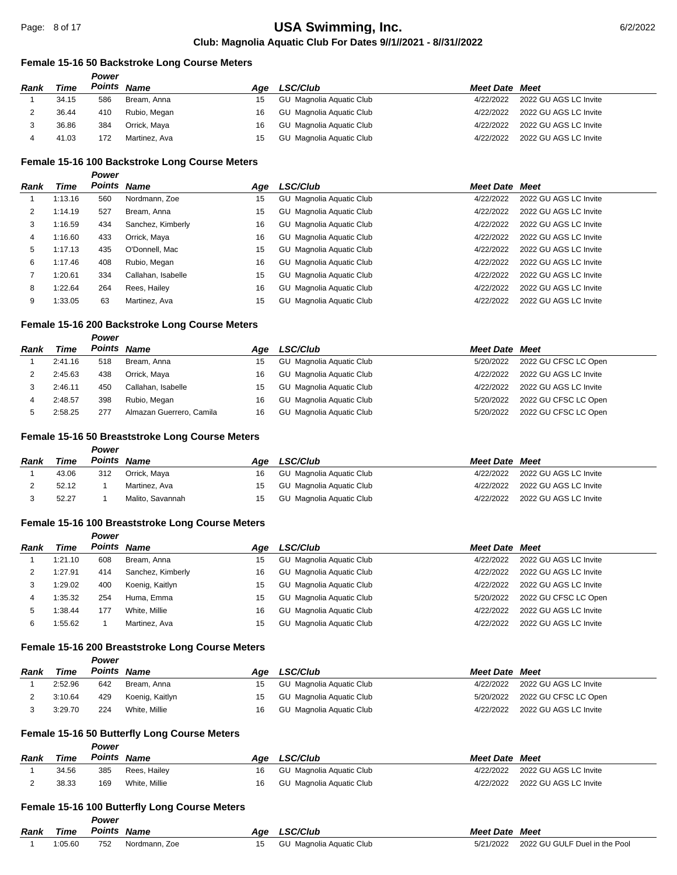## **Female 15-16 50 Backstroke Long Course Meters**

|             |       | Power       |               |     |                          |                       |                       |
|-------------|-------|-------------|---------------|-----|--------------------------|-----------------------|-----------------------|
| <b>Rank</b> | Time  | Points Name |               | Aae | <b>LSC/Club</b>          | <b>Meet Date Meet</b> |                       |
|             | 34.15 | 586         | Bream, Anna   | 15  | GU Magnolia Aquatic Club | 4/22/2022             | 2022 GU AGS LC Invite |
|             | 36.44 | 410         | Rubio, Megan  | 16  | GU Magnolia Aquatic Club | 4/22/2022             | 2022 GU AGS LC Invite |
|             | 36.86 | 384         | Orrick, Maya  | 16  | GU Magnolia Aquatic Club | 4/22/2022             | 2022 GU AGS LC Invite |
|             | 41.03 | 172         | Martinez, Ava | 15  | GU Magnolia Aquatic Club | 4/22/2022             | 2022 GU AGS LC Invite |

#### **Female 15-16 100 Backstroke Long Course Meters**

| Power |
|-------|
|       |

| Rank | Time    | <b>Points Name</b> |                    | Age | LSC/Club                 | <b>Meet Date Meet</b> |                       |
|------|---------|--------------------|--------------------|-----|--------------------------|-----------------------|-----------------------|
|      | 1:13.16 | 560                | Nordmann, Zoe      | 15  | GU Magnolia Aquatic Club | 4/22/2022             | 2022 GU AGS LC Invite |
| 2    | 1:14.19 | 527                | Bream, Anna        | 15  | GU Magnolia Aquatic Club | 4/22/2022             | 2022 GU AGS LC Invite |
| 3    | 1:16.59 | 434                | Sanchez, Kimberly  | 16  | GU Magnolia Aquatic Club | 4/22/2022             | 2022 GU AGS LC Invite |
| 4    | 1:16.60 | 433                | Orrick, Maya       | 16  | GU Magnolia Aquatic Club | 4/22/2022             | 2022 GU AGS LC Invite |
| 5    | 1:17.13 | 435                | O'Donnell, Mac     | 15  | GU Magnolia Aquatic Club | 4/22/2022             | 2022 GU AGS LC Invite |
| 6    | 1:17.46 | 408                | Rubio, Megan       | 16  | GU Magnolia Aquatic Club | 4/22/2022             | 2022 GU AGS LC Invite |
|      | 1:20.61 | 334                | Callahan, Isabelle | 15  | GU Magnolia Aquatic Club | 4/22/2022             | 2022 GU AGS LC Invite |
| 8    | 1:22.64 | 264                | Rees, Hailey       | 16  | GU Magnolia Aquatic Club | 4/22/2022             | 2022 GU AGS LC Invite |
| 9    | 1:33.05 | 63                 | Martinez, Ava      | 15  | GU Magnolia Aquatic Club | 4/22/2022             | 2022 GU AGS LC Invite |

## **Female 15-16 200 Backstroke Long Course Meters**

|      |         | Power |                          |     |                          |                       |                       |
|------|---------|-------|--------------------------|-----|--------------------------|-----------------------|-----------------------|
| Rank | Time    |       | Points Name              | Aae | <b>LSC/Club</b>          | <b>Meet Date Meet</b> |                       |
|      | 2:41.16 | 518   | Bream, Anna              | 15  | GU Magnolia Aquatic Club | 5/20/2022             | 2022 GU CFSC LC Open  |
|      | 2:45.63 | 438   | Orrick. Mava             | 16  | GU Magnolia Aguatic Club | 4/22/2022             | 2022 GU AGS LC Invite |
|      | 2:46.11 | 450   | Callahan, Isabelle       | 15  | GU Magnolia Aquatic Club | 4/22/2022             | 2022 GU AGS LC Invite |
|      | 2:48.57 | 398   | Rubio, Megan             | 16  | GU Magnolia Aquatic Club | 5/20/2022             | 2022 GU CFSC LC Open  |
|      | 2:58.25 | 277   | Almazan Guerrero, Camila | 16  | GU Magnolia Aquatic Club | 5/20/2022             | 2022 GU CFSC LC Open  |

## **Female 15-16 50 Breaststroke Long Course Meters**

#### *Power*

| <b>Rank</b> | Time  | Points Name |                  | Aae | <b>LSC/Club</b>          | <b>Meet Date Meet</b> |                       |
|-------------|-------|-------------|------------------|-----|--------------------------|-----------------------|-----------------------|
|             | 43.06 | 312         | Orrick, Maya     | 16  | GU Magnolia Aquatic Club | 4/22/2022             | 2022 GU AGS LC Invite |
|             | 52.12 |             | Martinez. Ava    | 15  | GU Magnolia Aguatic Club | 4/22/2022             | 2022 GU AGS LC Invite |
|             | 52.27 |             | Malito, Savannah | 15  | GU Magnolia Aguatic Club | 4/22/2022             | 2022 GU AGS LC Invite |

## **Female 15-16 100 Breaststroke Long Course Meters**

|      |         | Power |                   |     |                          |                       |                       |
|------|---------|-------|-------------------|-----|--------------------------|-----------------------|-----------------------|
| Rank | Time    |       | Points Name       | Aae | <b>LSC/Club</b>          | <b>Meet Date Meet</b> |                       |
|      | 1:21.10 | 608   | Bream, Anna       | 15  | GU Magnolia Aquatic Club | 4/22/2022             | 2022 GU AGS LC Invite |
| 2    | 1:27.91 | 414   | Sanchez, Kimberly | 16  | GU Magnolia Aquatic Club | 4/22/2022             | 2022 GU AGS LC Invite |
| 3    | 1:29.02 | 400   | Koenig, Kaitlyn   | 15  | GU Magnolia Aquatic Club | 4/22/2022             | 2022 GU AGS LC Invite |
| 4    | :35.32  | 254   | Huma, Emma        | 15  | GU Magnolia Aquatic Club | 5/20/2022             | 2022 GU CFSC LC Open  |
| 5    | :38.44  | 177   | White, Millie     | 16  | GU Magnolia Aquatic Club | 4/22/2022             | 2022 GU AGS LC Invite |
| 6    | :55.62  |       | Martinez, Ava     | 15  | GU Magnolia Aquatic Club | 4/22/2022             | 2022 GU AGS LC Invite |

#### **Female 15-16 200 Breaststroke Long Course Meters**

*Power*

| <b>Rank</b> | Time    | Points Name |                 | Aae | <b>LSC/Club</b>          | <b>Meet Date Meet</b> |                                 |
|-------------|---------|-------------|-----------------|-----|--------------------------|-----------------------|---------------------------------|
|             | 2:52.96 | 642         | Bream. Anna     | 15  | GU Magnolia Aguatic Club |                       | 4/22/2022 2022 GU AGS LC Invite |
|             | 3:10.64 | 429         | Koenig, Kaitlyn | 15  | GU Magnolia Aquatic Club |                       | 5/20/2022 2022 GU CFSC LC Open  |
|             | 3:29.70 | 224         | White, Millie   | 16  | GU Magnolia Aguatic Club | 4/22/2022             | 2022 GU AGS LC Invite           |

#### **Female 15-16 50 Butterfly Long Course Meters**

|             |       | Power  |               |     |                          |                       |                       |
|-------------|-------|--------|---------------|-----|--------------------------|-----------------------|-----------------------|
| <b>Rank</b> | Time  | Points | Name          | Aae | <b>LSC/Club</b>          | <b>Meet Date Meet</b> |                       |
|             | 34.56 | 385    | Rees, Hailev  | 16  | GU Magnolia Aquatic Club | 4/22/2022             | 2022 GU AGS LC Invite |
|             | 38.33 | 169    | White, Millie | 16  | GU Magnolia Aguatic Club | 4/22/2022             | 2022 GU AGS LC Invite |

## **Female 15-16 100 Butterfly Long Course Meters**

| Rank | Time    | г отст<br>Points | <b>Name</b>   | Age | <b>LSC/Club</b>               | Meet Date | Meet                          |
|------|---------|------------------|---------------|-----|-------------------------------|-----------|-------------------------------|
|      | 1:05.60 | 752              | Nordmann, Zoe |     | ' Magnolia Aguatic Club<br>GU | 5/21/2022 | 2022 GU GULF Duel in the Pool |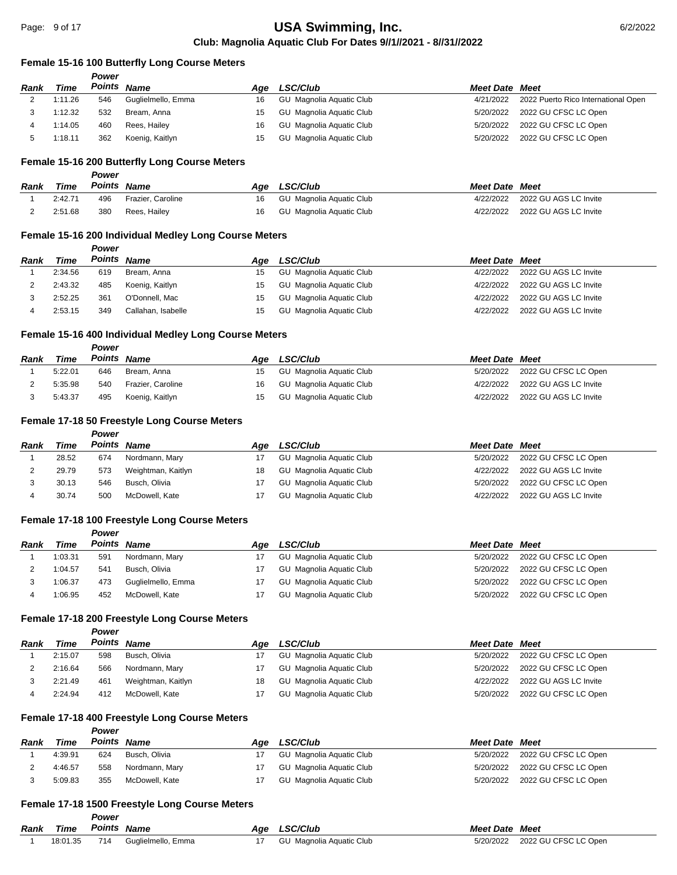#### **Female 15-16 100 Butterfly Long Course Meters**

|      |         | Power       |                    |     |                          |                       |                                               |
|------|---------|-------------|--------------------|-----|--------------------------|-----------------------|-----------------------------------------------|
| Rank | Time    | Points Name |                    | Aae | <b>LSC/Club</b>          | <b>Meet Date Meet</b> |                                               |
|      | 1:11.26 | 546         | Guglielmello, Emma | 16  | GU Magnolia Aquatic Club |                       | 4/21/2022 2022 Puerto Rico International Open |
|      | 1:12.32 | 532         | Bream. Anna        | 15  | GU Magnolia Aguatic Club |                       | 5/20/2022 2022 GU CFSC LC Open                |
|      | 1:14.05 | 460         | Rees, Hailey       | 16  | GU Magnolia Aquatic Club |                       | 5/20/2022 2022 GU CFSC LC Open                |

#### **Female 15-16 200 Butterfly Long Course Meters**

*Power*

*Power*

|      |         | Power  |                   |     |                          |                       |                       |
|------|---------|--------|-------------------|-----|--------------------------|-----------------------|-----------------------|
| Rank | Time    | Points | <b>Name</b>       | Aae | <b>LSC/Club</b>          | <b>Meet Date Meet</b> |                       |
|      | 2:42.71 | 496    | Frazier, Caroline | 16  | GU Magnolia Aguatic Club | 4/22/2022             | 2022 GU AGS LC Invite |
|      | 2:51.68 | 380    | Rees. Hailev      | 16  | GU Magnolia Aguatic Club | 4/22/2022             | 2022 GU AGS LC Invite |

5 1:18.11 362 Koenig, Kaitlyn 15 GU Magnolia Aquatic Club 5/20/2022 2022 GU CFSC LC Open

#### **Female 15-16 200 Individual Medley Long Course Meters**

| Rank | Time    | Points Name |                    | Aae | <b>LSC/Club</b>          | <b>Meet Date Meet</b> |                       |
|------|---------|-------------|--------------------|-----|--------------------------|-----------------------|-----------------------|
|      | 2:34.56 | 619         | Bream, Anna        | 15  | GU Magnolia Aguatic Club | 4/22/2022             | 2022 GU AGS LC Invite |
|      | 2:43.32 | 485         | Koenig, Kaitlyn    | 15  | GU Magnolia Aquatic Club | 4/22/2022             | 2022 GU AGS LC Invite |
|      | 2:52.25 | 361         | O'Donnell, Mac     | 15  | GU Magnolia Aguatic Club | 4/22/2022             | 2022 GU AGS LC Invite |
|      | 2:53.15 | 349         | Callahan, Isabelle | 15  | GU Magnolia Aguatic Club | 4/22/2022             | 2022 GU AGS LC Invite |

## **Female 15-16 400 Individual Medley Long Course Meters**

| <b>Rank</b> | Time    | Points Name |                   | Aae | <b>LSC/Club</b>          | <b>Meet Date Meet</b> |                       |
|-------------|---------|-------------|-------------------|-----|--------------------------|-----------------------|-----------------------|
|             | 5:22.01 | 646         | Bream. Anna       | 15  | GU Magnolia Aquatic Club | 5/20/2022             | 2022 GU CFSC LC Open  |
|             | 5:35.98 | 540         | Frazier, Caroline | 16  | GU Magnolia Aguatic Club | 4/22/2022             | 2022 GU AGS LC Invite |
|             | 5:43.37 | 495         | Koenig, Kaitlyn   |     | GU Magnolia Aquatic Club | 4/22/2022             | 2022 GU AGS LC Invite |

## **Female 17-18 50 Freestyle Long Course Meters**

|      |       | Power |                    |     |                          |                       |                       |
|------|-------|-------|--------------------|-----|--------------------------|-----------------------|-----------------------|
| Rank | Time  |       | <b>Points Name</b> | Aae | <b>LSC/Club</b>          | <b>Meet Date Meet</b> |                       |
|      | 28.52 | 674   | Nordmann, Mary     | 17  | GU Magnolia Aquatic Club | 5/20/2022             | 2022 GU CFSC LC Open  |
|      | 29.79 | 573   | Weightman, Kaitlyn | 18  | GU Magnolia Aquatic Club | 4/22/2022             | 2022 GU AGS LC Invite |
|      | 30.13 | 546   | Busch, Olivia      |     | GU Magnolia Aquatic Club | 5/20/2022             | 2022 GU CFSC LC Open  |
|      | 30.74 | 500   | McDowell, Kate     |     | GU Magnolia Aquatic Club | 4/22/2022             | 2022 GU AGS LC Invite |

# **Female 17-18 100 Freestyle Long Course Meters**

*Power*

| Rank | Time    | Points Name |                    | Aae | <b>LSC/Club</b>          | <b>Meet Date Meet</b> |                      |
|------|---------|-------------|--------------------|-----|--------------------------|-----------------------|----------------------|
|      | 1:03.31 | 591         | Nordmann, Mary     |     | GU Magnolia Aquatic Club | 5/20/2022             | 2022 GU CFSC LC Open |
|      | 1:04.57 | 541         | Busch, Olivia      |     | GU Magnolia Aguatic Club | 5/20/2022             | 2022 GU CFSC LC Open |
|      | 1:06.37 | 473         | Guglielmello, Emma |     | GU Magnolia Aguatic Club | 5/20/2022             | 2022 GU CFSC LC Open |
|      | 1:06.95 | 452         | McDowell, Kate     |     | GU Magnolia Aquatic Club | 5/20/2022             | 2022 GU CFSC LC Open |

## **Female 17-18 200 Freestyle Long Course Meters**

## *Power*

| <b>Rank</b> | Time    | Points Name |                    |    | Age LSC/Club             | <b>Meet Date Meet</b> |                       |
|-------------|---------|-------------|--------------------|----|--------------------------|-----------------------|-----------------------|
|             | 2:15.07 | 598         | Busch, Olivia      |    | GU Magnolia Aguatic Club | 5/20/2022             | 2022 GU CFSC LC Open  |
|             | 2:16.64 | 566         | Nordmann, Mary     |    | GU Magnolia Aguatic Club | 5/20/2022             | 2022 GU CFSC LC Open  |
|             | 2:21.49 | 461         | Weightman, Kaitlyn | 18 | GU Magnolia Aguatic Club | 4/22/2022             | 2022 GU AGS LC Invite |
|             | 2:24.94 | 412         | McDowell, Kate     |    | GU Magnolia Aguatic Club | 5/20/2022             | 2022 GU CFSC LC Open  |

#### **Female 17-18 400 Freestyle Long Course Meters**

*Power*

*Power*

| Rank | Time    | Points Name |                | Aae | <b>LSC/Club</b>          | <b>Meet Date Meet</b> |                      |
|------|---------|-------------|----------------|-----|--------------------------|-----------------------|----------------------|
|      | 4:39.91 | 624         | Busch, Olivia  |     | GU Magnolia Aguatic Club | 5/20/2022             | 2022 GU CFSC LC Open |
|      | 4:46.57 | 558         | Nordmann, Mary |     | GU Magnolia Aguatic Club | 5/20/2022             | 2022 GU CFSC LC Open |
|      | 5:09.83 | 355         | McDowell. Kate |     | GU Magnolia Aguatic Club | 5/20/2022             | 2022 GU CFSC LC Open |

#### **Female 17-18 1500 Freestyle Long Course Meters**

| <b>Rank Time Points Name</b> |                                 | Age LSC/Club                | <b>Meet Date Meet</b> |                      |
|------------------------------|---------------------------------|-----------------------------|-----------------------|----------------------|
|                              | 18:01.35 714 Guglielmello, Emma | 17 GU Magnolia Aguatic Club | 5/20/2022             | 2022 GU CFSC LC Open |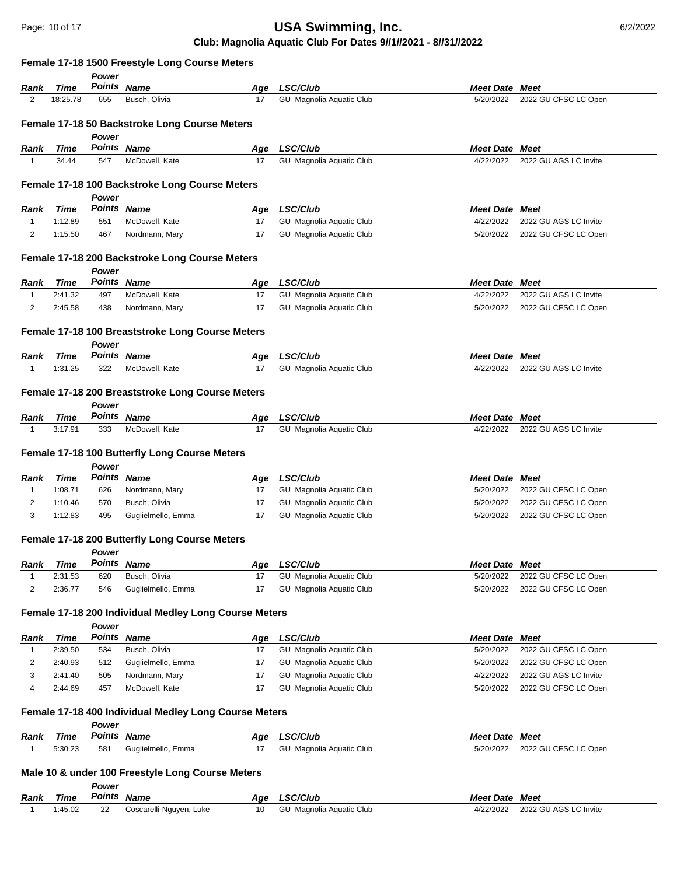# **USA Swimming, Inc. 1988 17 of 17 of 17 of 17 of 17 of 17 of 17 of 17 of 17 of 17 of 17 of 17 of 17 of 17 of 17 of 17 of 17 of 17 of 17 of 17 of 17 of 17 of 17 of 17 of 17 of 17 of 17 of 17 of 17 of 17 of 17 of 17 of 1**

# **Club: Magnolia Aquatic Club For Dates 9//1//2021 - 8//31//2022**

|              |               |                             | Female 17-18 1500 Freestyle Long Course Meters                  |           |                                             |                                    |                       |
|--------------|---------------|-----------------------------|-----------------------------------------------------------------|-----------|---------------------------------------------|------------------------------------|-----------------------|
|              |               | Power                       |                                                                 |           |                                             |                                    |                       |
| Rank         | Time          | Points Name                 |                                                                 | Age       | <b>LSC/Club</b>                             | <b>Meet Date Meet</b>              |                       |
| 2            | 18:25.78      | 655                         | Busch, Olivia                                                   | 17        | GU Magnolia Aquatic Club                    | 5/20/2022                          | 2022 GU CFSC LC Open  |
|              |               |                             | Female 17-18 50 Backstroke Long Course Meters                   |           |                                             |                                    |                       |
|              |               | Power                       | Points Name                                                     |           |                                             |                                    |                       |
| Rank<br>1    | Time<br>34.44 | 547                         |                                                                 | Age<br>17 | <b>LSC/Club</b><br>GU Magnolia Aquatic Club | <b>Meet Date Meet</b><br>4/22/2022 | 2022 GU AGS LC Invite |
|              |               |                             | McDowell, Kate                                                  |           |                                             |                                    |                       |
|              |               | Power                       | Female 17-18 100 Backstroke Long Course Meters                  |           |                                             |                                    |                       |
| Rank         | Time          |                             | Points Name                                                     | Age       | <b>LSC/Club</b>                             | <b>Meet Date Meet</b>              |                       |
| $\mathbf{1}$ | 1:12.89       | 551                         | McDowell, Kate                                                  | 17        | GU Magnolia Aquatic Club                    | 4/22/2022                          | 2022 GU AGS LC Invite |
| 2            | 1:15.50       | 467                         | Nordmann, Mary                                                  | 17        | GU Magnolia Aquatic Club                    | 5/20/2022                          | 2022 GU CFSC LC Open  |
|              |               |                             | Female 17-18 200 Backstroke Long Course Meters                  |           |                                             |                                    |                       |
|              |               | Power                       |                                                                 |           |                                             |                                    |                       |
| Rank         | Time          | Points Name                 |                                                                 | Age       | LSC/Club                                    | <b>Meet Date Meet</b>              |                       |
| 1            | 2:41.32       | 497                         | McDowell, Kate                                                  | 17        | GU Magnolia Aquatic Club                    | 4/22/2022                          | 2022 GU AGS LC Invite |
| 2            | 2:45.58       | 438                         | Nordmann, Mary                                                  | 17        | GU Magnolia Aquatic Club                    | 5/20/2022                          | 2022 GU CFSC LC Open  |
|              |               | Power                       | Female 17-18 100 Breaststroke Long Course Meters                |           |                                             |                                    |                       |
| Rank         | <b>Time</b>   |                             | Points Name                                                     | Age       | LSC/Club                                    | <b>Meet Date Meet</b>              |                       |
| $\mathbf{1}$ | 1:31.25       | 322                         | McDowell, Kate                                                  | 17        | GU Magnolia Aquatic Club                    | 4/22/2022                          | 2022 GU AGS LC Invite |
| Rank         | Time          | Power                       | Female 17-18 200 Breaststroke Long Course Meters<br>Points Name | Age       | <b>LSC/Club</b>                             | <b>Meet Date Meet</b>              |                       |
| 1            | 3:17.91       | 333                         | McDowell, Kate                                                  | 17        | GU Magnolia Aquatic Club                    | 4/22/2022                          | 2022 GU AGS LC Invite |
| Rank         | Time          | Power<br><b>Points Name</b> | Female 17-18 100 Butterfly Long Course Meters                   |           | Age LSC/Club                                | <b>Meet Date Meet</b>              |                       |
| $\mathbf{1}$ | 1:08.71       | 626                         | Nordmann, Mary                                                  | 17        | GU Magnolia Aquatic Club                    | 5/20/2022                          | 2022 GU CFSC LC Open  |
| 2            | 1:10.46       | 570                         | Busch, Olivia                                                   | 17        | GU Magnolia Aquatic Club                    | 5/20/2022                          | 2022 GU CFSC LC Open  |
| 3            | 1:12.83       | 495                         | Guglielmello, Emma                                              | 17        | GU Magnolia Aquatic Club                    | 5/20/2022                          | 2022 GU CFSC LC Open  |
|              |               |                             | Female 17-18 200 Butterfly Long Course Meters                   |           |                                             |                                    |                       |
|              |               | Power                       |                                                                 |           |                                             |                                    |                       |
| Rank         | Time          |                             | Points Name                                                     | Age       | <b>LSC/Club</b>                             | <b>Meet Date Meet</b>              |                       |
| 1            | 2:31.53       | 620                         | Busch, Olivia                                                   | 17        | GU Magnolia Aquatic Club                    | 5/20/2022                          | 2022 GU CFSC LC Open  |
| 2            | 2:36.77       | 546                         | Guglielmello, Emma                                              | 17        | GU Magnolia Aquatic Club                    | 5/20/2022                          | 2022 GU CFSC LC Open  |
|              |               | Power                       | Female 17-18 200 Individual Medley Long Course Meters           |           |                                             |                                    |                       |
| Rank         | Time          |                             | Points Name                                                     | Age       | LSC/Club                                    | <b>Meet Date Meet</b>              |                       |
| 1            | 2:39.50       | 534                         | Busch, Olivia                                                   | 17        | GU Magnolia Aquatic Club                    | 5/20/2022                          | 2022 GU CFSC LC Open  |
| 2            | 2:40.93       | 512                         | Guglielmello, Emma                                              | 17        | GU Magnolia Aquatic Club                    | 5/20/2022                          | 2022 GU CFSC LC Open  |
| 3            | 2:41.40       | 505                         | Nordmann, Mary                                                  | 17        | GU Magnolia Aquatic Club                    | 4/22/2022                          | 2022 GU AGS LC Invite |
| 4            | 2:44.69       | 457                         | McDowell, Kate                                                  | 17        | GU Magnolia Aquatic Club                    | 5/20/2022                          | 2022 GU CFSC LC Open  |
|              |               |                             |                                                                 |           |                                             |                                    |                       |
|              |               | Power                       | Female 17-18 400 Individual Medley Long Course Meters           |           |                                             |                                    |                       |
| Rank         | Time          | Points Name                 |                                                                 | Age       | <b>LSC/Club</b>                             | <b>Meet Date Meet</b>              |                       |
| 1            | 5:30.23       | 581                         | Guglielmello, Emma                                              | 17        | GU Magnolia Aquatic Club                    | 5/20/2022                          | 2022 GU CFSC LC Open  |
|              |               |                             | Male 10 & under 100 Freestyle Long Course Meters                |           |                                             |                                    |                       |
| Rank         | Time          | Power                       | Points Name                                                     | Age       | LSC/Club                                    | <b>Meet Date Meet</b>              |                       |
| $\mathbf{1}$ | 1:45.02       | 22                          | Coscarelli-Nguyen, Luke                                         | 10        | GU Magnolia Aquatic Club                    | 4/22/2022                          | 2022 GU AGS LC Invite |
|              |               |                             |                                                                 |           |                                             |                                    |                       |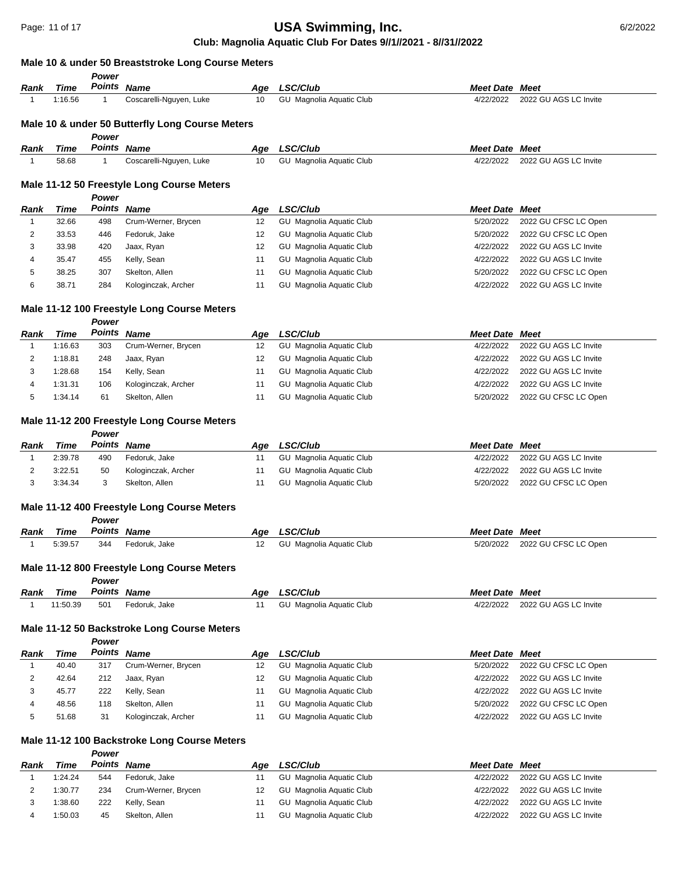# **Male 10 & under 50 Breaststroke Long Course Meters**

|                |                | Power                       |                                                 |           |                                                      |                        |                                                |
|----------------|----------------|-----------------------------|-------------------------------------------------|-----------|------------------------------------------------------|------------------------|------------------------------------------------|
| Rank           | Time           | Points Name                 |                                                 | Age       | <b>LSC/Club</b>                                      | <b>Meet Date Meet</b>  |                                                |
| $\mathbf{1}$   | 1:16.56        | -1                          | Coscarelli-Nguyen, Luke                         | 10        | GU Magnolia Aquatic Club                             | 4/22/2022              | 2022 GU AGS LC Invite                          |
|                |                |                             |                                                 |           |                                                      |                        |                                                |
|                |                |                             | Male 10 & under 50 Butterfly Long Course Meters |           |                                                      |                        |                                                |
| Rank           | Time           | Power<br><b>Points Name</b> |                                                 | Age       | LSC/Club                                             | <b>Meet Date Meet</b>  |                                                |
| $\mathbf{1}$   | 58.68          | $\mathbf{1}$                | Coscarelli-Nguyen, Luke                         | 10        | GU Magnolia Aquatic Club                             | 4/22/2022              | 2022 GU AGS LC Invite                          |
|                |                |                             |                                                 |           |                                                      |                        |                                                |
|                |                |                             | Male 11-12 50 Freestyle Long Course Meters      |           |                                                      |                        |                                                |
|                |                | Power                       |                                                 |           |                                                      |                        |                                                |
| Rank           | Time           | <b>Points Name</b>          |                                                 | Age       | <b>LSC/Club</b>                                      | <b>Meet Date Meet</b>  |                                                |
| $\mathbf{1}$   | 32.66          | 498                         | Crum-Werner, Brycen                             | 12        | GU Magnolia Aquatic Club                             | 5/20/2022              | 2022 GU CFSC LC Open                           |
| 2              | 33.53          | 446                         | Fedoruk, Jake                                   | 12        | GU Magnolia Aquatic Club                             | 5/20/2022              | 2022 GU CFSC LC Open                           |
| 3              | 33.98          | 420                         | Jaax, Ryan                                      | 12        | GU Magnolia Aquatic Club                             | 4/22/2022              | 2022 GU AGS LC Invite                          |
| 4              | 35.47          | 455                         | Kelly, Sean                                     | 11        | GU Magnolia Aquatic Club                             | 4/22/2022              | 2022 GU AGS LC Invite                          |
| 5<br>6         | 38.25<br>38.71 | 307                         | Skelton, Allen                                  | 11<br>11  | GU Magnolia Aquatic Club                             | 5/20/2022<br>4/22/2022 | 2022 GU CFSC LC Open<br>2022 GU AGS LC Invite  |
|                |                | 284                         | Kologinczak, Archer                             |           | GU Magnolia Aquatic Club                             |                        |                                                |
|                |                |                             | Male 11-12 100 Freestyle Long Course Meters     |           |                                                      |                        |                                                |
|                |                | Power                       |                                                 |           |                                                      |                        |                                                |
| Rank           | Time           | Points Name                 |                                                 | Age       | <b>LSC/Club</b>                                      | Meet Date              | Meet                                           |
| $\mathbf{1}$   | 1:16.63        | 303                         | Crum-Werner, Brycen                             | 12        | GU Magnolia Aquatic Club                             | 4/22/2022              | 2022 GU AGS LC Invite                          |
| 2              | 1:18.81        | 248                         | Jaax, Ryan                                      | 12        | GU Magnolia Aquatic Club                             | 4/22/2022              | 2022 GU AGS LC Invite                          |
| 3              | 1:28.68        | 154                         | Kelly, Sean                                     | 11        | GU Magnolia Aquatic Club                             | 4/22/2022              | 2022 GU AGS LC Invite                          |
| 4              | 1:31.31        | 106                         | Kologinczak, Archer                             | 11        | GU Magnolia Aquatic Club                             | 4/22/2022              | 2022 GU AGS LC Invite                          |
| 5              | 1:34.14        | 61                          | Skelton, Allen                                  | 11        | GU Magnolia Aquatic Club                             | 5/20/2022              | 2022 GU CFSC LC Open                           |
|                |                |                             |                                                 |           |                                                      |                        |                                                |
|                |                |                             | Male 11-12 200 Freestyle Long Course Meters     |           |                                                      |                        |                                                |
| Rank           | Time           | Power<br>Points Name        |                                                 |           | <b>LSC/Club</b>                                      | <b>Meet Date Meet</b>  |                                                |
| $\mathbf{1}$   | 2:39.78        | 490                         | Fedoruk, Jake                                   | Age<br>11 | GU Magnolia Aquatic Club                             | 4/22/2022              | 2022 GU AGS LC Invite                          |
| 2              | 3:22.51        | 50                          | Kologinczak, Archer                             | 11        | GU Magnolia Aquatic Club                             | 4/22/2022              | 2022 GU AGS LC Invite                          |
| 3              | 3:34.34        | 3                           | Skelton, Allen                                  | 11        | GU Magnolia Aquatic Club                             | 5/20/2022              | 2022 GU CFSC LC Open                           |
|                |                |                             |                                                 |           |                                                      |                        |                                                |
|                |                |                             | Male 11-12 400 Freestyle Long Course Meters     |           |                                                      |                        |                                                |
|                |                | Power                       |                                                 |           |                                                      |                        |                                                |
| Rank           | Time           | Points Name                 |                                                 | Age       | LSC/Club                                             | <b>Meet Date Meet</b>  |                                                |
| $\mathbf 1$    | 5:39.57        | 344                         | Fedoruk, Jake                                   | 12        | GU Magnolia Aquatic Club                             | 5/20/2022              | 2022 GU CFSC LC Open                           |
|                |                |                             | Male 11-12 800 Freestyle Long Course Meters     |           |                                                      |                        |                                                |
|                |                | Power                       |                                                 |           |                                                      |                        |                                                |
| Rank           | Time           | Points Name                 |                                                 | Age       | LSC/Club                                             | <b>Meet Date Meet</b>  |                                                |
| $\mathbf{1}$   | 11:50.39       | 501                         | Fedoruk, Jake                                   | 11        | GU Magnolia Aquatic Club                             | 4/22/2022              | 2022 GU AGS LC Invite                          |
|                |                |                             |                                                 |           |                                                      |                        |                                                |
|                |                |                             | Male 11-12 50 Backstroke Long Course Meters     |           |                                                      |                        |                                                |
|                |                | Power                       |                                                 |           |                                                      |                        |                                                |
| Rank           | Time           | Points Name                 |                                                 | Age       | LSC/Club                                             | Meet Date Meet         |                                                |
| 1              | 40.40          | 317                         | Crum-Werner, Brycen                             | 12        | GU Magnolia Aquatic Club                             | 5/20/2022              | 2022 GU CFSC LC Open                           |
| 2<br>3         | 42.64<br>45.77 | 212<br>222                  | Jaax, Ryan<br>Kelly, Sean                       | 12<br>11  | GU Magnolia Aquatic Club<br>GU Magnolia Aquatic Club | 4/22/2022<br>4/22/2022 | 2022 GU AGS LC Invite<br>2022 GU AGS LC Invite |
| 4              | 48.56          | 118                         | Skelton, Allen                                  | 11        | GU Magnolia Aquatic Club                             | 5/20/2022              | 2022 GU CFSC LC Open                           |
| 5              | 51.68          | 31                          | Kologinczak, Archer                             | 11        | GU Magnolia Aquatic Club                             | 4/22/2022              | 2022 GU AGS LC Invite                          |
|                |                |                             |                                                 |           |                                                      |                        |                                                |
|                |                |                             | Male 11-12 100 Backstroke Long Course Meters    |           |                                                      |                        |                                                |
|                |                | Power                       |                                                 |           |                                                      |                        |                                                |
| Rank           | Time           | Points Name                 |                                                 | Age       | LSC/Club                                             | <b>Meet Date Meet</b>  |                                                |
| 1              | 1:24.24        | 544                         | Fedoruk, Jake                                   | 11        | GU Magnolia Aquatic Club                             | 4/22/2022              | 2022 GU AGS LC Invite                          |
| $\overline{c}$ | 1:30.77        | 234                         | Crum-Werner, Brycen                             | 12        | GU Magnolia Aquatic Club                             | 4/22/2022              | 2022 GU AGS LC Invite                          |
| 3              | 1:38.60        | 222                         | Kelly, Sean                                     | 11        | GU Magnolia Aquatic Club                             | 4/22/2022              | 2022 GU AGS LC Invite                          |
| 4              | 1:50.03        | 45                          | Skelton, Allen                                  | 11        | GU Magnolia Aquatic Club                             | 4/22/2022              | 2022 GU AGS LC Invite                          |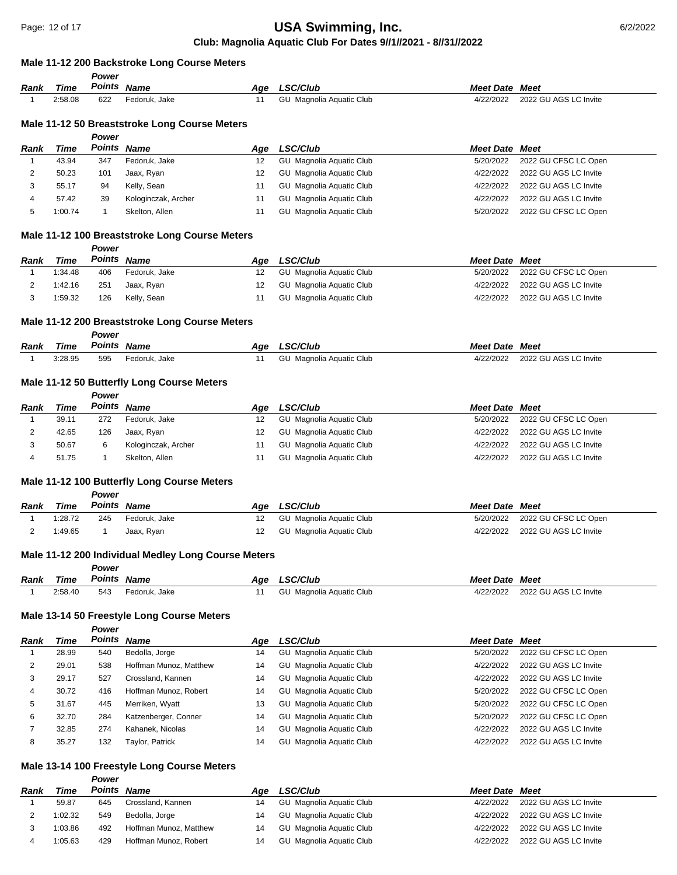# **Club: Magnolia Aquatic Club For Dates 9//1//2021 - 8//31//2022 USA Swimming, Inc. 12 of 17 of 17 of 17 of 17 of 17 of 17 of 17 of 17 of 17 of 17 of 17 of 17 of 17 of 17 of 17 of 17 of 17 of 17 of 17 of 17 of 17 of 17 of 17 of 17 of 17 of 17 of 17 of 17 of 17 of 17 of 17 of 17 of 17**

## **Male 11-12 200 Backstroke Long Course Meters**

|                |                | Power        |                                                     |           |                                      |                        |                                                |
|----------------|----------------|--------------|-----------------------------------------------------|-----------|--------------------------------------|------------------------|------------------------------------------------|
| Rank           | <b>Time</b>    |              | Points Name                                         | Age       | <b>LSC/Club</b>                      | <b>Meet Date Meet</b>  |                                                |
| 1              | 2:58.08        | 622          | Fedoruk, Jake                                       | 11        | GU Magnolia Aquatic Club             | 4/22/2022              | 2022 GU AGS LC Invite                          |
|                |                |              |                                                     |           |                                      |                        |                                                |
|                |                |              | Male 11-12 50 Breaststroke Long Course Meters       |           |                                      |                        |                                                |
|                |                | Power        |                                                     |           |                                      |                        |                                                |
| Rank           | Time           |              | Points Name                                         | Age       | LSC/Club                             | <b>Meet Date Meet</b>  |                                                |
| 1              | 43.94          | 347          | Fedoruk, Jake                                       | 12        | <b>GU</b> Magnolia Aquatic Club      | 5/20/2022              | 2022 GU CFSC LC Open                           |
| 2              | 50.23          | 101          | Jaax, Ryan                                          | 12        | <b>GU</b> Magnolia Aquatic Club      | 4/22/2022              | 2022 GU AGS LC Invite                          |
| 3              | 55.17          | 94           | Kelly, Sean                                         | 11        | <b>GU</b> Magnolia Aquatic Club      | 4/22/2022              | 2022 GU AGS LC Invite                          |
| 4              | 57.42          | 39           | Kologinczak, Archer                                 | 11        | GU Magnolia Aquatic Club             | 4/22/2022              | 2022 GU AGS LC Invite                          |
| 5              | 1:00.74        | $\mathbf{1}$ | Skelton, Allen                                      | 11        | GU Magnolia Aquatic Club             | 5/20/2022              | 2022 GU CFSC LC Open                           |
|                |                |              | Male 11-12 100 Breaststroke Long Course Meters      |           |                                      |                        |                                                |
|                |                | Power        |                                                     |           |                                      |                        |                                                |
| Rank           | Time           |              | Points Name                                         | Age       | <b>LSC/Club</b>                      | <b>Meet Date Meet</b>  |                                                |
| 1              | 1:34.48        | 406          | Fedoruk, Jake                                       | 12        | GU Magnolia Aquatic Club             | 5/20/2022              | 2022 GU CFSC LC Open                           |
| 2              | 1:42.16        | 251          | Jaax, Ryan                                          | 12        | GU Magnolia Aquatic Club             | 4/22/2022              | 2022 GU AGS LC Invite                          |
| 3              | 1:59.32        | 126          | Kelly, Sean                                         | 11        | GU Magnolia Aquatic Club             | 4/22/2022              | 2022 GU AGS LC Invite                          |
|                |                |              |                                                     |           |                                      |                        |                                                |
|                |                |              | Male 11-12 200 Breaststroke Long Course Meters      |           |                                      |                        |                                                |
|                |                | Power        |                                                     |           |                                      |                        |                                                |
| Rank           | Time           | Points       | <b>Name</b>                                         | Age       | <b>LSC/Club</b>                      | <b>Meet Date Meet</b>  |                                                |
| $\mathbf{1}$   | 3:28.95        | 595          | Fedoruk, Jake                                       | 11        | <b>GU</b> Magnolia Aquatic Club      | 4/22/2022              | 2022 GU AGS LC Invite                          |
|                |                |              |                                                     |           |                                      |                        |                                                |
|                |                |              | Male 11-12 50 Butterfly Long Course Meters          |           |                                      |                        |                                                |
|                |                | Power        | Points Name                                         |           |                                      |                        |                                                |
| Rank<br>1      | Time<br>39.11  | 272          | Fedoruk, Jake                                       | Age       | LSC/Club<br>GU Magnolia Aquatic Club | <b>Meet Date Meet</b>  | 2022 GU CFSC LC Open                           |
|                |                |              |                                                     | 12<br>12  | <b>GU</b> Magnolia Aquatic Club      | 5/20/2022<br>4/22/2022 |                                                |
| $\overline{c}$ | 42.65          | 126          | Jaax, Ryan                                          |           |                                      |                        | 2022 GU AGS LC Invite                          |
| 3<br>4         | 50.67<br>51.75 | 6<br>1       | Kologinczak, Archer                                 | 11<br>11  | GU Magnolia Aquatic Club             | 4/22/2022<br>4/22/2022 | 2022 GU AGS LC Invite<br>2022 GU AGS LC Invite |
|                |                |              | Skelton, Allen                                      |           | GU Magnolia Aquatic Club             |                        |                                                |
|                |                |              | Male 11-12 100 Butterfly Long Course Meters         |           |                                      |                        |                                                |
|                |                | Power        |                                                     |           |                                      |                        |                                                |
| Rank           | Time           |              | <b>Points Name</b>                                  | Age       | <b>LSC/Club</b>                      | <b>Meet Date Meet</b>  |                                                |
| 1              | 1:28.72        | 245          | Fedoruk, Jake                                       | 12        | GU Magnolia Aquatic Club             | 5/20/2022              | 2022 GU CFSC LC Open                           |
| 2              | 1:49.65        | $\mathbf{1}$ | Jaax, Ryan                                          | 12        | GU Magnolia Aquatic Club             | 4/22/2022              | 2022 GU AGS LC Invite                          |
|                |                |              |                                                     |           |                                      |                        |                                                |
|                |                |              | Male 11-12 200 Individual Medley Long Course Meters |           |                                      |                        |                                                |
|                |                | Power        |                                                     |           |                                      |                        |                                                |
| Rank           | Time           | Points       | <b>Name</b>                                         | Age       | <b>LSC/Club</b>                      | <b>Meet Date Meet</b>  |                                                |
| $\mathbf{1}$   | 2:58.40        | 543          | Fedoruk, Jake                                       | 11        | GU Magnolia Aquatic Club             | 4/22/2022              | 2022 GU AGS LC Invite                          |
|                |                |              |                                                     |           |                                      |                        |                                                |
|                |                | Power        | Male 13-14 50 Freestyle Long Course Meters          |           |                                      |                        |                                                |
| Rank           | Time           | Points       | <b>Name</b>                                         |           | <b>LSC/Club</b>                      | <b>Meet Date Meet</b>  |                                                |
| 1              | 28.99          | 540          | Bedolla, Jorge                                      | Age<br>14 | GU Magnolia Aquatic Club             | 5/20/2022              | 2022 GU CFSC LC Open                           |
| 2              | 29.01          | 538          | Hoffman Munoz, Matthew                              | 14        | <b>GU</b> Magnolia Aquatic Club      | 4/22/2022              | 2022 GU AGS LC Invite                          |
| 3              | 29.17          | 527          | Crossland, Kannen                                   | 14        | GU Magnolia Aquatic Club             | 4/22/2022              | 2022 GU AGS LC Invite                          |
| 4              | 30.72          | 416          | Hoffman Munoz, Robert                               | 14        | GU Magnolia Aquatic Club             | 5/20/2022              | 2022 GU CFSC LC Open                           |
| 5              | 31.67          | 445          | Merriken, Wyatt                                     | 13        | GU Magnolia Aquatic Club             | 5/20/2022              | 2022 GU CFSC LC Open                           |
| 6              | 32.70          | 284          | Katzenberger, Conner                                | 14        | GU Magnolia Aquatic Club             | 5/20/2022              | 2022 GU CFSC LC Open                           |
| 7              | 32.85          | 274          |                                                     |           |                                      |                        | 2022 GU AGS LC Invite                          |
|                |                |              | Kahanek, Nicolas                                    | 14        | GU Magnolia Aquatic Club             | 4/22/2022<br>4/22/2022 |                                                |
| 8              | 35.27          | 132          | Taylor, Patrick                                     | 14        | GU Magnolia Aquatic Club             |                        | 2022 GU AGS LC Invite                          |
|                |                |              | Male 13-14 100 Freestyle Long Course Meters         |           |                                      |                        |                                                |
|                |                | Power        |                                                     |           |                                      |                        |                                                |
| Rank           | <b>Time</b>    |              | Points Name                                         | Age       | LSC/Club                             | <b>Meet Date Meet</b>  |                                                |
| 1              | 59.87          | 645          | Crossland, Kannen                                   | 14        | GU Magnolia Aquatic Club             | 4/22/2022              | 2022 GU AGS LC Invite                          |
|                | 1.02.32        | 549          | Bedolla Jorge                                       | 14        | GU Magnolia Aquatic Club             | 4/22/2022              | 2022 GU AGS LC Invite                          |

| 59.87   | 645 | Crossland, Kannen      |    | GU Magnolia Aquatic Club | 4/22/2022 | 2022 GU AGS LC Invite |
|---------|-----|------------------------|----|--------------------------|-----------|-----------------------|
| 1:02.32 | 549 | Bedolla, Jorge         |    | GU Magnolia Aguatic Club | 4/22/2022 | 2022 GU AGS LC Invite |
| 1:03.86 | 492 | Hoffman Munoz, Matthew | 14 | GU Magnolia Aguatic Club | 4/22/2022 | 2022 GU AGS LC Invite |
| 1:05.63 | 429 | Hoffman Munoz, Robert  |    | GU Magnolia Aguatic Club | 4/22/2022 | 2022 GU AGS LC Invite |
|         |     |                        |    |                          |           |                       |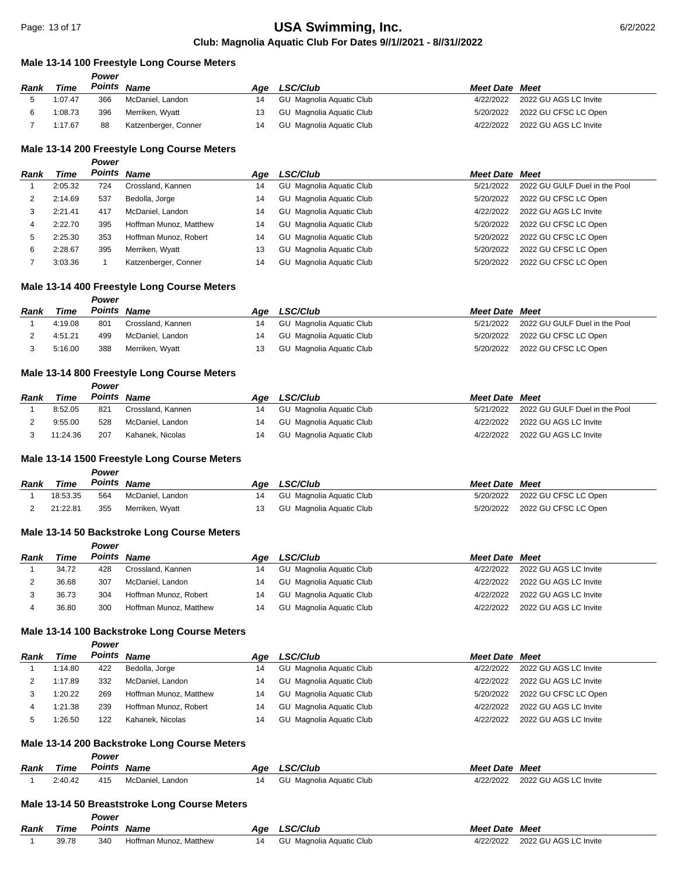#### **Male 13-14 100 Freestyle Long Course Meters**

*Power*

*Power*

|         | r ower |                      |                                                    |                 |                                                                                  |                       |
|---------|--------|----------------------|----------------------------------------------------|-----------------|----------------------------------------------------------------------------------|-----------------------|
| Time    |        |                      | Aae                                                | <b>LSC/Club</b> | <b>Meet Date Meet</b>                                                            |                       |
| 1:07.47 | 366    |                      | 14                                                 |                 | 4/22/2022                                                                        | 2022 GU AGS LC Invite |
| 1:08.73 | 396    |                      |                                                    |                 | 5/20/2022                                                                        | 2022 GU CFSC LC Open  |
| 1:17.67 | 88     | Katzenberger, Conner | 14                                                 |                 | 4/22/2022                                                                        | 2022 GU AGS LC Invite |
|         |        |                      | Points Name<br>McDaniel, Landon<br>Merriken, Wyatt |                 | GU Magnolia Aguatic Club<br>GU Magnolia Aguatic Club<br>GU Magnolia Aguatic Club |                       |

#### **Male 13-14 200 Freestyle Long Course Meters**

| Rank | Time    |     | Points Name            | Aae | <b>LSC/Club</b>                 | <b>Meet Date Meet</b> |                               |
|------|---------|-----|------------------------|-----|---------------------------------|-----------------------|-------------------------------|
|      | 2:05.32 | 724 | Crossland, Kannen      | 14  | GU Magnolia Aquatic Club        | 5/21/2022             | 2022 GU GULF Duel in the Pool |
|      | 2:14.69 | 537 | Bedolla, Jorge         | 14  | <b>GU</b> Magnolia Aquatic Club | 5/20/2022             | 2022 GU CFSC LC Open          |
|      | 2:21.41 | 417 | McDaniel, Landon       | 14  | <b>GU</b> Magnolia Aquatic Club | 4/22/2022             | 2022 GU AGS LC Invite         |
| 4    | 2:22.70 | 395 | Hoffman Munoz, Matthew | 14  | GU Magnolia Aquatic Club        | 5/20/2022             | 2022 GU CFSC LC Open          |
| 5    | 2:25.30 | 353 | Hoffman Munoz, Robert  | 14  | <b>GU</b> Magnolia Aquatic Club | 5/20/2022             | 2022 GU CFSC LC Open          |
| 6    | 2:28.67 | 395 | Merriken, Wyatt        | 13  | GU Magnolia Aquatic Club        | 5/20/2022             | 2022 GU CFSC LC Open          |
|      | 3:03.36 |     | Katzenberger, Conner   | 14  | GU Magnolia Aquatic Club        | 5/20/2022             | 2022 GU CFSC LC Open          |

## **Male 13-14 400 Freestyle Long Course Meters**

*Power*

*Power*

*Power*

*Power*

*Power*

| Rank | Time    | Points | Name              | Aae | <b>LSC/Club</b>          | <b>Meet Date Meet</b> |                               |
|------|---------|--------|-------------------|-----|--------------------------|-----------------------|-------------------------------|
|      | 4:19.08 | 801    | Crossland, Kannen | 14  | GU Magnolia Aquatic Club | 5/21/2022             | 2022 GU GULF Duel in the Pool |
|      | 4:51.21 | 499    | McDaniel, Landon  |     | GU Magnolia Aquatic Club | 5/20/2022             | 2022 GU CFSC LC Open          |
|      | 5:16.00 | 388    | Merriken, Wyatt   | 13. | GU Magnolia Aquatic Club | 5/20/2022             | 2022 GU CFSC LC Open          |

## **Male 13-14 800 Freestyle Long Course Meters**

| Rank | <b>Time</b> | Points | Name              | Aae | <b>LSC/Club</b>          | <b>Meet Date Meet</b> |                               |
|------|-------------|--------|-------------------|-----|--------------------------|-----------------------|-------------------------------|
|      | 8:52.05     | 821    | Crossland, Kannen |     | GU Magnolia Aguatic Club | 5/21/2022             | 2022 GU GULF Duel in the Pool |
|      | 9:55.00     | 528    | McDaniel, Landon  | 14  | GU Magnolia Aquatic Club | 4/22/2022             | 2022 GU AGS LC Invite         |
|      | 11:24.36    | 207    | Kahanek. Nicolas  |     | GU Magnolia Aguatic Club | 4/22/2022             | 2022 GU AGS LC Invite         |

## **Male 13-14 1500 Freestyle Long Course Meters**

| Rank | Time     | Points Name |                  | Age LSC/Club                | <b>Meet Date Meet</b> |                                |
|------|----------|-------------|------------------|-----------------------------|-----------------------|--------------------------------|
|      | 18:53.35 | 564         | McDaniel. Landon | 14 GU Magnolia Aquatic Club |                       | 5/20/2022 2022 GU CFSC LC Open |
|      | 21:22.81 | 355         | Merriken, Wyatt  | GU Magnolia Aquatic Club    |                       | 5/20/2022 2022 GU CFSC LC Open |

#### **Male 13-14 50 Backstroke Long Course Meters**

| Rank | Time  | Points | <b>Name</b>            | Aae | <b>LSC/Club</b>          | <b>Meet Date Meet</b> |                       |
|------|-------|--------|------------------------|-----|--------------------------|-----------------------|-----------------------|
|      | 34.72 | 428    | Crossland, Kannen      | 14  | GU Magnolia Aguatic Club | 4/22/2022             | 2022 GU AGS LC Invite |
|      | 36.68 | 307    | McDaniel, Landon       | 14  | GU Magnolia Aguatic Club | 4/22/2022             | 2022 GU AGS LC Invite |
|      | 36.73 | 304    | Hoffman Munoz, Robert  | 14  | GU Magnolia Aguatic Club | 4/22/2022             | 2022 GU AGS LC Invite |
|      | 36.80 | 300    | Hoffman Munoz, Matthew | 14  | GU Magnolia Aguatic Club | 4/22/2022             | 2022 GU AGS LC Invite |

## **Male 13-14 100 Backstroke Long Course Meters**

| Rank | Time    |     | Points Name            | Aae | <b>LSC/Club</b>          | <b>Meet Date Meet</b> |                       |
|------|---------|-----|------------------------|-----|--------------------------|-----------------------|-----------------------|
|      | 1:14.80 | 422 | Bedolla, Jorge         | 14  | GU Magnolia Aquatic Club | 4/22/2022             | 2022 GU AGS LC Invite |
|      | 1:17.89 | 332 | McDaniel, Landon       | 14  | GU Magnolia Aguatic Club | 4/22/2022             | 2022 GU AGS LC Invite |
|      | 1:20.22 | 269 | Hoffman Munoz, Matthew | 14  | GU Magnolia Aguatic Club | 5/20/2022             | 2022 GU CFSC LC Open  |
|      | 1:21.38 | 239 | Hoffman Munoz, Robert  | 14  | GU Magnolia Aquatic Club | 4/22/2022             | 2022 GU AGS LC Invite |
|      | :26.50  | 122 | Kahanek, Nicolas       | 14  | GU Magnolia Aquatic Club | 4/22/2022             | 2022 GU AGS LC Invite |

#### **Male 13-14 200 Backstroke Long Course Meters**

|  |  | Power |
|--|--|-------|
|  |  |       |

| Rank                                          | Time    | Points | Name             | Aae | <b>LSC/Club</b>          | <b>Meet Date Meet</b> |                       |  |  |
|-----------------------------------------------|---------|--------|------------------|-----|--------------------------|-----------------------|-----------------------|--|--|
|                                               | 2:40.42 | 415    | McDaniel. Landon | 14  | GU Magnolia Aquatic Club | 4/22/2022             | 2022 GU AGS LC Invite |  |  |
| Male 13-14.50 Breaststroke Long Course Meters |         |        |                  |     |                          |                       |                       |  |  |

#### **Male 13-14 50 Breaststroke Long Course Meters**

|             |       | Power  |                        |     |                          |                       |                       |
|-------------|-------|--------|------------------------|-----|--------------------------|-----------------------|-----------------------|
| <b>Rank</b> | Time  | Points | Name                   | Aae | <b>LSC/Club</b>          | <b>Meet Date Meet</b> |                       |
|             | 39.78 | 340    | Hoffman Munoz. Matthew |     | GU Magnolia Aguatic Club | 4/22/2022             | 2022 GU AGS LC Invite |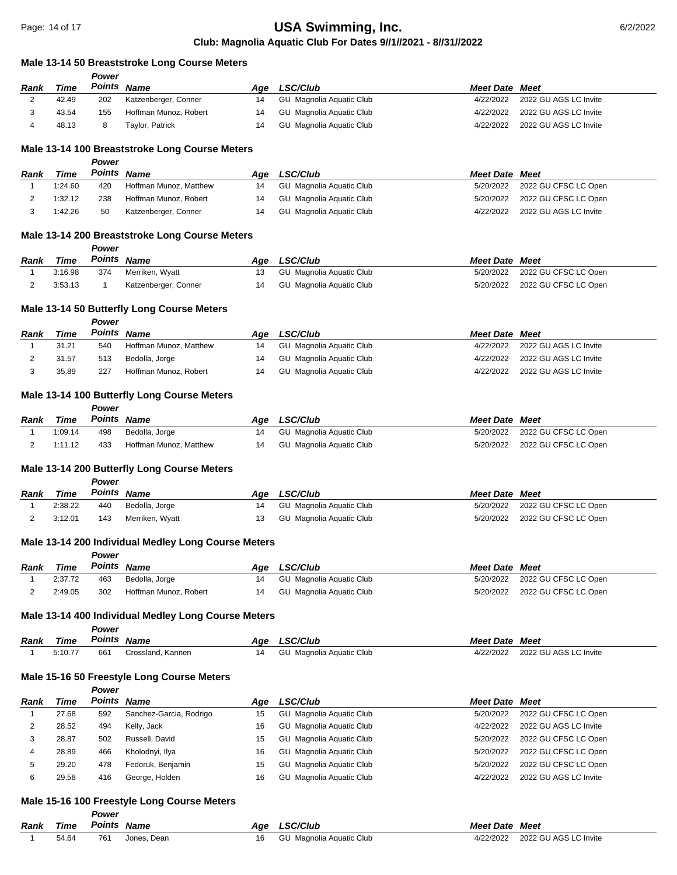#### **Male 13-14 50 Breaststroke Long Course Meters**

|      |       | Power  |                       |     |                          |                       |                       |
|------|-------|--------|-----------------------|-----|--------------------------|-----------------------|-----------------------|
| Rank | Time  | Points | <b>Name</b>           | Aae | <b>LSC/Club</b>          | <b>Meet Date Meet</b> |                       |
| ∸    | 42.49 | 202    | Katzenberger, Conner  | 14  | GU Magnolia Aquatic Club | 4/22/2022             | 2022 GU AGS LC Invite |
|      | 43.54 | 155    | Hoffman Munoz, Robert | 14  | GU Magnolia Aquatic Club | 4/22/2022             | 2022 GU AGS LC Invite |
|      | 48.13 |        | Taylor, Patrick       | 14  | GU Magnolia Aguatic Club | 4/22/2022             | 2022 GU AGS LC Invite |
|      |       |        |                       |     |                          |                       |                       |

#### **Male 13-14 100 Breaststroke Long Course Meters**

*Power*

*Power*

*Power*

*Power*

*Power*

|      |         | - - - - - - |                        |     |                          |                       |                       |
|------|---------|-------------|------------------------|-----|--------------------------|-----------------------|-----------------------|
| Rank | Time    | Points      | Name                   | Aae | <b>LSC/Club</b>          | <b>Meet Date Meet</b> |                       |
|      | 1:24.60 | 420         | Hoffman Munoz, Matthew | 14  | GU Magnolia Aguatic Club | 5/20/2022             | 2022 GU CFSC LC Open  |
|      | 1:32.12 | 238         | Hoffman Munoz, Robert  |     | GU Magnolia Aquatic Club | 5/20/2022             | 2022 GU CFSC LC Open  |
|      | 1:42.26 | 50          | Katzenberger, Conner   |     | GU Magnolia Aquatic Club | 4/22/2022             | 2022 GU AGS LC Invite |

#### **Male 13-14 200 Breaststroke Long Course Meters**

| Rank | Time    | Points Name |                      | Aae | <b>LSC/Club</b>             | <b>Meet Date Meet</b> |                                |
|------|---------|-------------|----------------------|-----|-----------------------------|-----------------------|--------------------------------|
|      | 3:16.98 | 374         | Merriken, Wyatt      |     | 13 GU Magnolia Aquatic Club |                       | 5/20/2022 2022 GU CFSC LC Open |
|      | 3:53.13 |             | Katzenberger, Conner |     | 14 GU Magnolia Aquatic Club |                       | 5/20/2022 2022 GU CFSC LC Open |

## **Male 13-14 50 Butterfly Long Course Meters**

| Rank | Time  | Points | Name                   | Aae | <b>LSC/Club</b>          | <b>Meet Date Meet</b> |                       |
|------|-------|--------|------------------------|-----|--------------------------|-----------------------|-----------------------|
|      | 31.21 | 540    | Hoffman Munoz, Matthew | 14  | GU Magnolia Aguatic Club | 4/22/2022             | 2022 GU AGS LC Invite |
|      | 31.57 | 513    | Bedolla, Jorge         | 14  | GU Magnolia Aquatic Club | 4/22/2022             | 2022 GU AGS LC Invite |
|      | 35.89 | 227    | Hoffman Munoz, Robert  |     | GU Magnolia Aguatic Club | 4/22/2022             | 2022 GU AGS LC Invite |

## **Male 13-14 100 Butterfly Long Course Meters**

| Rank | Time Points Name |     |                        | Age LSC/Club                | <b>Meet Date Meet</b> |                                |
|------|------------------|-----|------------------------|-----------------------------|-----------------------|--------------------------------|
|      | 1:09.14          | 498 | Bedolla, Jorge         | 14 GU Magnolia Aguatic Club |                       | 5/20/2022 2022 GU CFSC LC Open |
|      | 1:11.12          | 433 | Hoffman Munoz, Matthew | 14 GU Magnolia Aquatic Club |                       | 5/20/2022 2022 GU CFSC LC Open |

#### **Male 13-14 200 Butterfly Long Course Meters**

*Rank Time Power Points Name Age LSC/Club Meet Date Meet* 1 2:38.22 440 Bedolla, Jorge 14 GU Magnolia Aquatic Club 5/20/2022 2022 GU CFSC LC Open 2 3:12.01 143 Merriken, Wyatt 13 GU Magnolia Aquatic Club 5/20/2022 2022 GU CFSC LC Open

#### **Male 13-14 200 Individual Medley Long Course Meters**

| Rank | Time    | Points | Name                  | Age LSC/Club             | <b>Meet Date Meet</b> |                                |
|------|---------|--------|-----------------------|--------------------------|-----------------------|--------------------------------|
|      | 2:37.72 | 463    | Bedolla, Jorge        | GU Magnolia Aguatic Club |                       | 5/20/2022 2022 GU CFSC LC Open |
|      | 2:49.05 | 302    | Hoffman Munoz, Robert | GU Magnolia Aquatic Club | 5/20/2022             | 2022 GU CFSC LC Open           |

#### **Male 13-14 400 Individual Medley Long Course Meters**

*Power*

| Rank | ïme    | Points | Name                                  | Age | <sup>∙</sup> ″Club<br>. <i>. .</i> | <b>Meet Date</b> | Meet                  |
|------|--------|--------|---------------------------------------|-----|------------------------------------|------------------|-----------------------|
|      | 5:10.7 | 661    | ≿rossland.<br>Kannen<br>$\sim$ $\sim$ | 14  | เ Aɑuatic Club<br>GL.<br>Magnolia  | 22/2022          | 2022 GU AGS LC Invite |

#### **Male 15-16 50 Freestyle Long Course Meters**

*Power*

| <b>Rank</b> | Time  |     | Points Name             | Age | LSC/Club                 | <b>Meet Date Meet</b> |                       |
|-------------|-------|-----|-------------------------|-----|--------------------------|-----------------------|-----------------------|
|             | 27.68 | 592 | Sanchez-Garcia, Rodrigo | 15  | GU Magnolia Aquatic Club | 5/20/2022             | 2022 GU CFSC LC Open  |
| ∼           | 28.52 | 494 | Kelly, Jack             | 16  | GU Magnolia Aquatic Club | 4/22/2022             | 2022 GU AGS LC Invite |
|             | 28.87 | 502 | Russell, David          | 15  | GU Magnolia Aquatic Club | 5/20/2022             | 2022 GU CFSC LC Open  |
|             | 28.89 | 466 | Kholodnyi, Ilya         | 16  | GU Magnolia Aquatic Club | 5/20/2022             | 2022 GU CFSC LC Open  |
|             | 29.20 | 478 | Fedoruk, Benjamin       | 15  | GU Magnolia Aquatic Club | 5/20/2022             | 2022 GU CFSC LC Open  |
|             | 29.58 | 416 | George, Holden          | 16  | GU Magnolia Aquatic Club | 4/22/2022             | 2022 GU AGS LC Invite |

#### **Male 15-16 100 Freestyle Long Course Meters**

|             |             | Power       |             |                             |                       |                                 |
|-------------|-------------|-------------|-------------|-----------------------------|-----------------------|---------------------------------|
| <b>Rank</b> | <b>Time</b> | Points Name |             | Age LSC/Club                | <b>Meet Date Meet</b> |                                 |
|             | 54.64       | 761         | Jones. Dean | 16 GU Magnolia Aquatic Club |                       | 4/22/2022 2022 GU AGS LC Invite |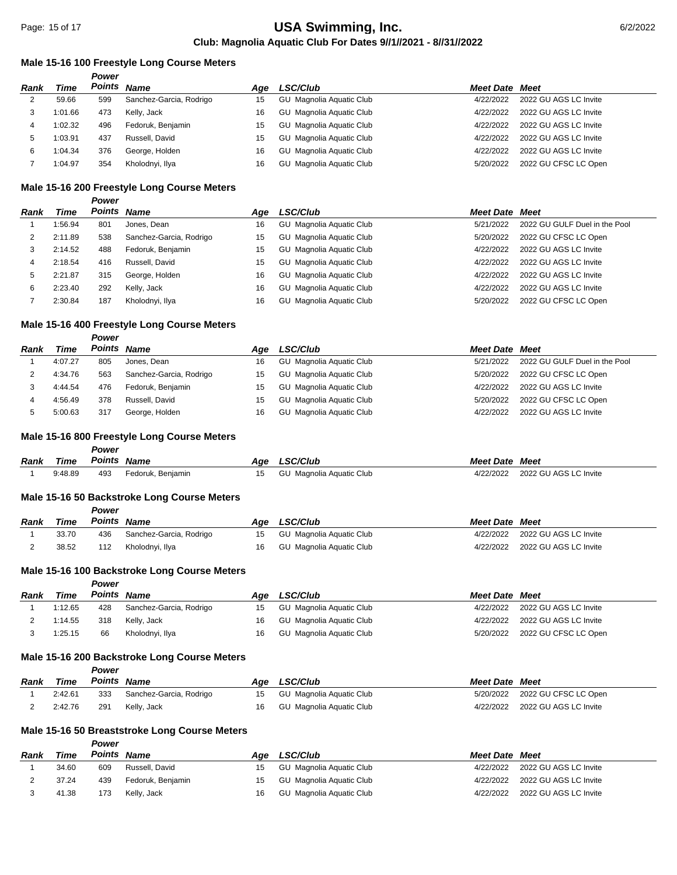#### **Male 15-16 100 Freestyle Long Course Meters**

|      |         | Power |                         |     |                                 |                       |                       |
|------|---------|-------|-------------------------|-----|---------------------------------|-----------------------|-----------------------|
| Rank | Time    |       | Points Name             | Aae | <b>LSC/Club</b>                 | <b>Meet Date Meet</b> |                       |
| 2    | 59.66   | 599   | Sanchez-Garcia, Rodrigo | 15  | GU Magnolia Aguatic Club        | 4/22/2022             | 2022 GU AGS LC Invite |
| 3    | 1:01.66 | 473   | Kelly, Jack             | 16  | <b>GU</b> Magnolia Aquatic Club | 4/22/2022             | 2022 GU AGS LC Invite |
| 4    | 1:02.32 | 496   | Fedoruk, Benjamin       | 15  | <b>GU</b> Magnolia Aquatic Club | 4/22/2022             | 2022 GU AGS LC Invite |
| 5    | 1:03.91 | 437   | Russell, David          | 15  | <b>GU</b> Magnolia Aquatic Club | 4/22/2022             | 2022 GU AGS LC Invite |
| 6    | 1:04.34 | 376   | George, Holden          | 16  | <b>GU</b> Magnolia Aquatic Club | 4/22/2022             | 2022 GU AGS LC Invite |
|      | 1:04.97 | 354   | Kholodnyi, Ilya         | 16  | <b>GU</b> Magnolia Aquatic Club | 5/20/2022             | 2022 GU CFSC LC Open  |

#### **Male 15-16 200 Freestyle Long Course Meters**

|      |         | Power       |                         |     |                                 |                       |                               |
|------|---------|-------------|-------------------------|-----|---------------------------------|-----------------------|-------------------------------|
| Rank | Time    | Points Name |                         | Aqe | LSC/Club                        | <b>Meet Date Meet</b> |                               |
|      | 1:56.94 | 801         | Jones, Dean             | 16  | GU Magnolia Aquatic Club        | 5/21/2022             | 2022 GU GULF Duel in the Pool |
|      | 2:11.89 | 538         | Sanchez-Garcia, Rodrigo | 15  | GU Magnolia Aquatic Club        | 5/20/2022             | 2022 GU CFSC LC Open          |
| 3    | 2:14.52 | 488         | Fedoruk, Benjamin       | 15  | GU Magnolia Aquatic Club        | 4/22/2022             | 2022 GU AGS LC Invite         |
| 4    | 2:18.54 | 416         | Russell, David          | 15  | <b>GU</b> Magnolia Aquatic Club | 4/22/2022             | 2022 GU AGS LC Invite         |
| 5    | 2:21.87 | 315         | George, Holden          | 16  | <b>GU</b> Magnolia Aquatic Club | 4/22/2022             | 2022 GU AGS LC Invite         |
| 6    | 2:23.40 | 292         | Kelly, Jack             | 16  | GU Magnolia Aquatic Club        | 4/22/2022             | 2022 GU AGS LC Invite         |
|      | 2:30.84 | 187         | Kholodnyi, Ilya         | 16  | GU Magnolia Aquatic Club        | 5/20/2022             | 2022 GU CFSC LC Open          |

## **Male 15-16 400 Freestyle Long Course Meters**

*Power*

| Rank | Time    |     | Points Name             | Aae | <b>LSC/Club</b>          | <b>Meet Date Meet</b> |                               |
|------|---------|-----|-------------------------|-----|--------------------------|-----------------------|-------------------------------|
|      | 4:07.27 | 805 | Jones, Dean             | 16  | GU Magnolia Aquatic Club | 5/21/2022             | 2022 GU GULF Duel in the Pool |
|      | 4:34.76 | 563 | Sanchez-Garcia, Rodrigo | 15  | GU Magnolia Aquatic Club | 5/20/2022             | 2022 GU CFSC LC Open          |
|      | 4:44.54 | 476 | Fedoruk, Benjamin       | 15  | GU Magnolia Aquatic Club | 4/22/2022             | 2022 GU AGS LC Invite         |
|      | 4:56.49 | 378 | Russell, David          | 15  | GU Magnolia Aquatic Club | 5/20/2022             | 2022 GU CFSC LC Open          |
|      | 5:00.63 | 317 | George, Holden          | 16  | GU Magnolia Aguatic Club | 4/22/2022             | 2022 GU AGS LC Invite         |

## **Male 15-16 800 Freestyle Long Course Meters**

#### *Power*

*Power*

*Power*

| <b>Rank</b> | Time    | <b>Points Name</b> |                   | Age | <b>LSC/Club</b>          | <b>Meet Date Meet</b> |                                 |
|-------------|---------|--------------------|-------------------|-----|--------------------------|-----------------------|---------------------------------|
|             | 9:48.89 | 493                | Fedoruk, Benjamin | 15  | GU Magnolia Aquatic Club |                       | 4/22/2022 2022 GU AGS LC Invite |

#### **Male 15-16 50 Backstroke Long Course Meters**

| Rank | Time  | Points Name |                         | Age LSC/Club                | <b>Meet Date Meet</b> |                                 |
|------|-------|-------------|-------------------------|-----------------------------|-----------------------|---------------------------------|
|      | 33.70 | 436         | Sanchez-Garcia, Rodrigo | 15 GU Magnolia Aquatic Club |                       | 4/22/2022 2022 GU AGS LC Invite |
|      | 38.52 | 112         | Kholodnyi, Ilya         | GU Magnolia Aquatic Club    |                       | 4/22/2022 2022 GU AGS LC Invite |

## **Male 15-16 100 Backstroke Long Course Meters**

| Rank | Time    | Points | Name                    |    | Age LSC/Club             | <b>Meet Date Meet</b> |                                |
|------|---------|--------|-------------------------|----|--------------------------|-----------------------|--------------------------------|
|      | 1:12.65 | 428    | Sanchez-Garcia, Rodrigo | 15 | GU Magnolia Aguatic Club | 4/22/2022             | 2022 GU AGS LC Invite          |
|      | 1:14.55 | 318    | Kellv. Jack             | 16 | GU Magnolia Aguatic Club | 4/22/2022             | 2022 GU AGS LC Invite          |
|      | 1:25.15 | 66     | Kholodnvi. Ilva         | 16 | GU Magnolia Aquatic Club |                       | 5/20/2022 2022 GU CFSC LC Open |

## **Male 15-16 200 Backstroke Long Course Meters**

|             |         | Power       |                         |    |                          |                       |                                |
|-------------|---------|-------------|-------------------------|----|--------------------------|-----------------------|--------------------------------|
| <b>Rank</b> | Time    | Points Name |                         |    | Age LSC/Club             | <b>Meet Date Meet</b> |                                |
|             | 2:42.61 | 333         | Sanchez-Garcia, Rodrigo | 15 | GU Magnolia Aguatic Club |                       | 5/20/2022 2022 GU CFSC LC Open |
|             | 2:42.76 | 291         | Kelly, Jack             | 16 | GU Magnolia Aguatic Club | 4/22/2022             | 2022 GU AGS LC Invite          |

#### **Male 15-16 50 Breaststroke Long Course Meters**

|      |       | Power  |                   |     |                          |                       |                       |
|------|-------|--------|-------------------|-----|--------------------------|-----------------------|-----------------------|
| Rank | Time  | Points | Name              | Aae | <b>LSC/Club</b>          | <b>Meet Date Meet</b> |                       |
|      | 34.60 | 609    | Russell, David    | 15  | GU Magnolia Aquatic Club | 4/22/2022             | 2022 GU AGS LC Invite |
|      | 37.24 | 439    | Fedoruk, Benjamin | 15  | GU Magnolia Aquatic Club | 4/22/2022             | 2022 GU AGS LC Invite |
|      | 41.38 | 173    | Kelly, Jack       | 16  | GU Magnolia Aguatic Club | 4/22/2022             | 2022 GU AGS LC Invite |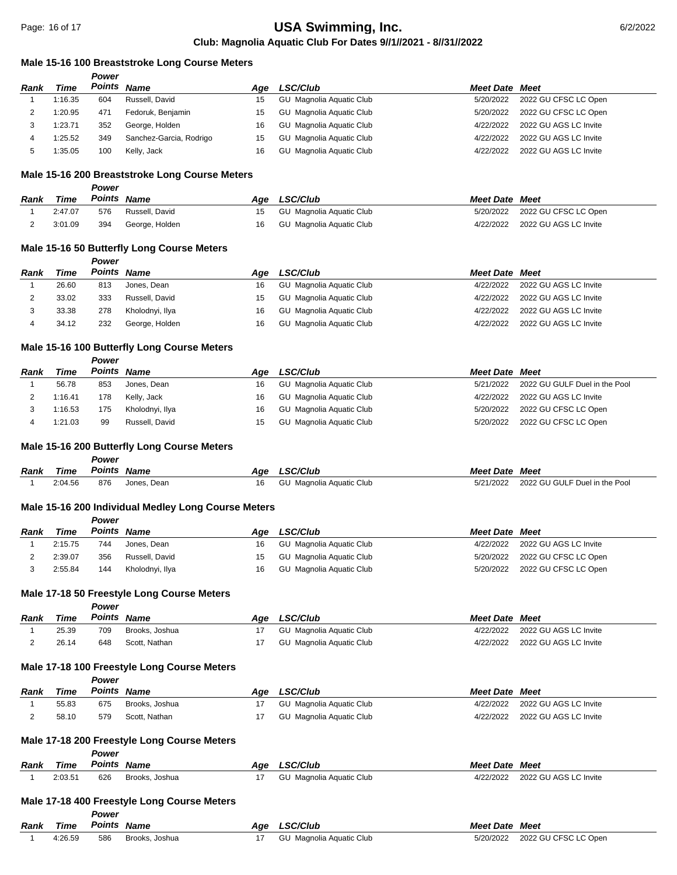## **Male 15-16 100 Breaststroke Long Course Meters**

|      |         | Power |                         |     |                          |                       |                       |
|------|---------|-------|-------------------------|-----|--------------------------|-----------------------|-----------------------|
| Rank | Time    |       | Points Name             | Aae | <b>LSC/Club</b>          | <b>Meet Date Meet</b> |                       |
|      | 1:16.35 | 604   | Russell, David          | 15  | GU Magnolia Aguatic Club | 5/20/2022             | 2022 GU CFSC LC Open  |
|      | 1:20.95 | 471   | Fedoruk, Benjamin       | 15  | GU Magnolia Aquatic Club | 5/20/2022             | 2022 GU CFSC LC Open  |
| 3    | 1:23.71 | 352   | George, Holden          | 16  | GU Magnolia Aquatic Club | 4/22/2022             | 2022 GU AGS LC Invite |
| 4    | 1:25.52 | 349   | Sanchez-Garcia, Rodrigo | 15  | GU Magnolia Aquatic Club | 4/22/2022             | 2022 GU AGS LC Invite |
|      | 1:35.05 | 100   | Kelly, Jack             | 16  | GU Magnolia Aquatic Club | 4/22/2022             | 2022 GU AGS LC Invite |

#### **Male 15-16 200 Breaststroke Long Course Meters**

|      |         | Power       |                |    |                          |                       |                                |
|------|---------|-------------|----------------|----|--------------------------|-----------------------|--------------------------------|
| Rank | Time    | Points Name |                |    | Age LSC/Club             | <b>Meet Date Meet</b> |                                |
|      | 2:47.07 | 576         | Russell, David | 15 | GU Magnolia Aguatic Club |                       | 5/20/2022 2022 GU CFSC LC Open |
|      | 3:01.09 | 394         | George, Holden | 16 | GU Magnolia Aquatic Club | 4/22/2022             | 2022 GU AGS LC Invite          |

## **Male 15-16 50 Butterfly Long Course Meters**

*Power*

*Power*

*Power*

*Power*

| Time  |     |                 | Aae         | <b>LSC/Club</b> | <b>Meet Date Meet</b>                                                                                        |                       |
|-------|-----|-----------------|-------------|-----------------|--------------------------------------------------------------------------------------------------------------|-----------------------|
| 26.60 | 813 | Jones, Dean     | 16          |                 | 4/22/2022                                                                                                    | 2022 GU AGS LC Invite |
| 33.02 | 333 | Russell, David  | 15          |                 | 4/22/2022                                                                                                    | 2022 GU AGS LC Invite |
| 33.38 | 278 | Kholodnyi, Ilya | 16          |                 | 4/22/2022                                                                                                    | 2022 GU AGS LC Invite |
| 34.12 | 232 | George, Holden  | 16          |                 | 4/22/2022                                                                                                    | 2022 GU AGS LC Invite |
|       |     |                 | Points Name |                 | GU Magnolia Aguatic Club<br>GU Magnolia Aguatic Club<br>GU Magnolia Aguatic Club<br>GU Magnolia Aquatic Club |                       |

#### **Male 15-16 100 Butterfly Long Course Meters**

| Rank | Time    | Points Name |                 | Aae | <b>LSC/Club</b>          | <b>Meet Date Meet</b> |                                         |
|------|---------|-------------|-----------------|-----|--------------------------|-----------------------|-----------------------------------------|
|      | 56.78   | 853         | Jones. Dean     | 16  | GU Magnolia Aguatic Club |                       | 5/21/2022 2022 GU GULF Duel in the Pool |
|      | 1:16.41 | 178         | Kelly, Jack     | 16  | GU Magnolia Aguatic Club |                       | 4/22/2022 2022 GU AGS LC Invite         |
|      | 1:16.53 | 175         | Kholodnyi, Ilya | 16  | GU Magnolia Aguatic Club |                       | 5/20/2022 2022 GU CFSC LC Open          |
|      | 1:21.03 | 99          | Russell, David  | 15  | GU Magnolia Aquatic Club |                       | 5/20/2022 2022 GU CFSC LC Open          |

#### **Male 15-16 200 Butterfly Long Course Meters**

| Rank | Time    | Points | <b>Name</b> | Age | <b>LSC/Club</b>          | <b>Meet Date</b> | Meet                          |
|------|---------|--------|-------------|-----|--------------------------|------------------|-------------------------------|
|      | 2:04.56 | 876    | Jones. Dean |     | GU Magnolia Aguatic Club | 5/21/2022        | 2022 GU GULF Duel in the Pool |

#### **Male 15-16 200 Individual Medley Long Course Meters**

|             |             | .      |                 |     |                          |                       |                                |
|-------------|-------------|--------|-----------------|-----|--------------------------|-----------------------|--------------------------------|
| <b>Rank</b> | <b>Time</b> | Points | Name            | Aae | <b>LSC/Club</b>          | <b>Meet Date Meet</b> |                                |
|             | 2:15.75     | 744    | Jones. Dean     | 16  | GU Magnolia Aguatic Club | 4/22/2022             | 2022 GU AGS LC Invite          |
|             | 2:39.07     | 356    | Russell, David  | 15  | GU Magnolia Aguatic Club | 5/20/2022             | 2022 GU CFSC LC Open           |
|             | 2:55.84     | 144    | Kholodnyi, Ilya | 16  | GU Magnolia Aguatic Club |                       | 5/20/2022 2022 GU CFSC LC Open |

#### **Male 17-18 50 Freestyle Long Course Meters**

|      |             | Power  |                |     |                          |                       |                       |
|------|-------------|--------|----------------|-----|--------------------------|-----------------------|-----------------------|
| Rank | <b>Time</b> | Points | <b>Name</b>    | Aae | <b>LSC/Club</b>          | <b>Meet Date Meet</b> |                       |
|      | 25.39       | 709    | Brooks, Joshua |     | GU Magnolia Aquatic Club | 4/22/2022             | 2022 GU AGS LC Invite |
|      | 26.14       | 648    | Scott, Nathan  |     | GU Magnolia Aquatic Club | 4/22/2022             | 2022 GU AGS LC Invite |

#### **Male 17-18 100 Freestyle Long Course Meters**

|      |       | Power       |                |     |                          |                       |                       |
|------|-------|-------------|----------------|-----|--------------------------|-----------------------|-----------------------|
| Rank | Time  | Points Name |                | Aae | <b>LSC/Club</b>          | <b>Meet Date Meet</b> |                       |
|      | 55.83 | 675         | Brooks. Joshua |     | GU Magnolia Aquatic Club | 4/22/2022             | 2022 GU AGS LC Invite |
|      | 58.10 | 579         | Scott, Nathan  |     | GU Magnolia Aguatic Club | 4/22/2022             | 2022 GU AGS LC Invite |

#### **Male 17-18 200 Freestyle Long Course Meters**

| <b>Rank</b> | Time    | Power<br>Points Name |                                             | Aae | <b>LSC/Club</b>          | <b>Meet Date Meet</b> |                       |
|-------------|---------|----------------------|---------------------------------------------|-----|--------------------------|-----------------------|-----------------------|
|             | 2:03.51 | 626                  | Brooks, Joshua                              | 17  | GU Magnolia Aguatic Club | 4/22/2022             | 2022 GU AGS LC Invite |
|             |         | <b>DAUGH</b>         | Male 17-18 400 Freestyle Long Course Meters |     |                          |                       |                       |

| Rank | Time    | r ower<br><b>Points Name</b> |                | Age | <b>_SC/Club</b>          | <b>Meet Date Meet</b> |                      |
|------|---------|------------------------------|----------------|-----|--------------------------|-----------------------|----------------------|
|      | 4:26.59 | 586                          | Brooks, Joshua |     | GU Magnolia Aguatic Club | 5/20/2022             | 2022 GU CFSC LC Open |